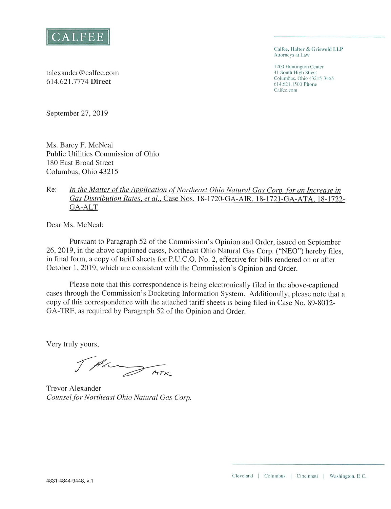

Calfee, Halter & Griswold LLP Attorneys at Law

1200 Huntington Center 41 South High Street Columbus, Ohio 43215-3465 614.621.1500 Phone Calfee.com

talexander@calfee.com 614.621.7774 Direct

September 27, 2019

Ms. Barcy F. McNeal Public Utilities Commission of Ohio 180 East Broad Street Columbus, Ohio 43215

#### In the Matter of the Application of Northeast Ohio Natural Gas Corp. for an Increase in Re: Gas Distribution Rates, et al., Case Nos. 18-1720-GA-AIR, 18-1721-GA-ATA, 18-1722-GA-ALT

Dear Ms. McNeal:

Pursuant to Paragraph 52 of the Commission's Opinion and Order, issued on September 26, 2019, in the above captioned cases, Northeast Ohio Natural Gas Corp. ("NEO") hereby files, in final form, a copy of tariff sheets for P.U.C.O. No. 2, effective for bills rendered on or after October 1, 2019, which are consistent with the Commission's Opinion and Order.

Please note that this correspondence is being electronically filed in the above-captioned cases through the Commission's Docketing Information System. Additionally, please note that a copy of this correspondence with the attached tariff sheets is being filed in Case No. 89-8012-GA-TRF, as required by Paragraph 52 of the Opinion and Order.

Very truly yours,

The THE

**Trevor Alexander** Counsel for Northeast Ohio Natural Gas Corp.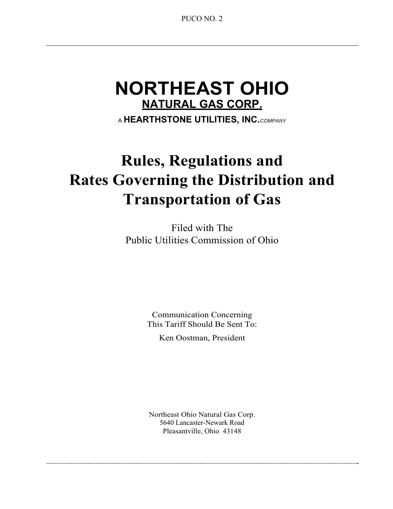# **NORTHEAST OHIO NATURAL GAS CORP.**

<sup>A</sup>**HEARTHSTONE UTILITIES, INC.** *COMPANY* 

# **Rules, Regulations and Rates Governing the Distribution and Transportation of Gas**

Filed with The Public Utilities Commission of Ohio

> Communication Concerning This Tariff Should Be Sent To:

> > Ken Oostman, President

Northeast Ohio Natural Gas Corp. 5640 Lancaster-Newark Road Pleasantville, Ohio 43148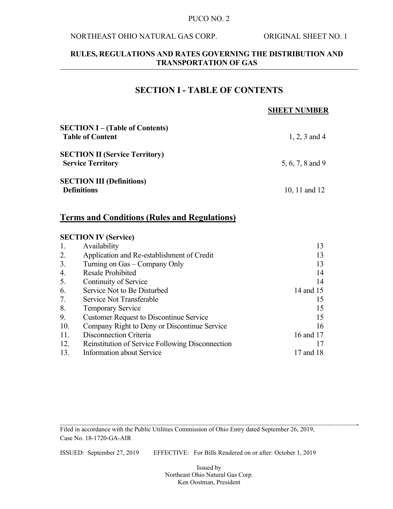#### NORTHEAST OHIO NATURAL GAS CORP. ORIGINAL SHEET NO. 1

### **RULES, REGULATIONS AND RATES GOVERNING THE DISTRIBUTION AND TRANSPORTATION OF GAS**

# **SECTION I - TABLE OF CONTENTS**

### **SHEET NUMBER**

| <b>SECTION I</b> – (Table of Contents)<br><b>Table of Content</b> | 1, 2, 3 and 4    |
|-------------------------------------------------------------------|------------------|
| <b>SECTION II (Service Territory)</b><br><b>Service Territory</b> | 5, 6, 7, 8 and 9 |
| <b>SECTION III (Definitions)</b>                                  |                  |
| <b>Definitions</b>                                                | 10, 11 and 12    |

# **Terms and Conditions (Rules and Regulations)**

### **SECTION IV (Service)**

| Availability                                     | 13        |
|--------------------------------------------------|-----------|
| Application and Re-establishment of Credit       | 13        |
| Turning on Gas – Company Only                    | 13        |
| <b>Resale Prohibited</b>                         | 14        |
| Continuity of Service                            | 14        |
| Service Not to Be Disturbed                      | 14 and 15 |
| Service Not Transferable                         | 15        |
| <b>Temporary Service</b>                         | 15        |
| <b>Customer Request to Discontinue Service</b>   | 15        |
| Company Right to Deny or Discontinue Service     | 16        |
| Disconnection Criteria                           | 16 and 17 |
| Reinstitution of Service Following Disconnection |           |
| <b>Information about Service</b>                 | 17 and 18 |
|                                                  |           |

Filed in accordance with the Public Utilities Commission of Ohio Entry dated September 26, 2019, Case No. 18-1720-GA-AIR

ISSUED: September 27, 2019 EFFECTIVE: For Bills Rendered on or after: October 1, 2019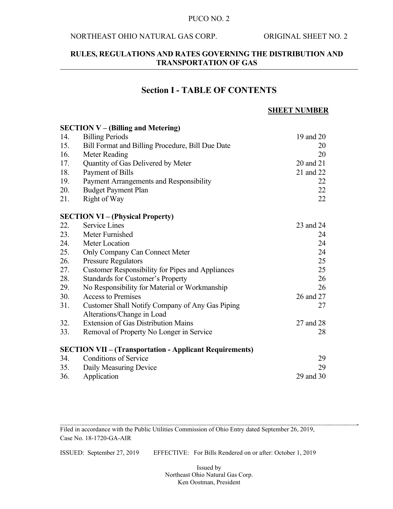### NORTHEAST OHIO NATURAL GAS CORP. ORIGINAL SHEET NO. 2

### **RULES, REGULATIONS AND RATES GOVERNING THE DISTRIBUTION AND TRANSPORTATION OF GAS**

### **Section I - TABLE OF CONTENTS**

#### **SHEET NUMBER**

### **SECTION V – (Billing and Metering)**  14. Billing Periods 19 and 20 15. Bill Format and Billing Procedure, Bill Due Date 20 16. Meter Reading 20 17. Quantity of Gas Delivered by Meter 20 and 21 18. Payment of Bills 21 and 22 19. Payment Arrangements and Responsibility 22 20. Budget Payment Plan 22 21. Right of Way 22 **SECTION VI – (Physical Property)**  22. Service Lines 23 and 24 23. Meter Furnished 24 24. Meter Location 24 25. Only Company Can Connect Meter 24 26. Pressure Regulators 25 27. Customer Responsibility for Pipes and Appliances 25 28. Standards for Customer's Property 26 29. No Responsibility for Material or Workmanship 26 30. Access to Premises 26 and 27 31. Customer Shall Notify Company of Any Gas Piping 27 Alterations/Change in Load 32. Extension of Gas Distribution Mains 27 and 28 33. Removal of Property No Longer in Service 28 **SECTION VII – (Transportation - Applicant Requirements)**  34. Conditions of Service 29 35. Daily Measuring Device 29 36. Application 29 and 30

Filed in accordance with the Public Utilities Commission of Ohio Entry dated September 26, 2019, Case No. 18-1720-GA-AIR

ISSUED: September 27, 2019 EFFECTIVE: For Bills Rendered on or after: October 1, 2019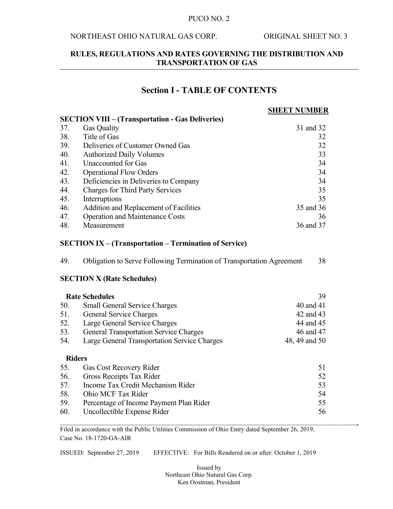### NORTHEAST OHIO NATURAL GAS CORP. ORIGINAL SHEET NO. 3

### **RULES, REGULATIONS AND RATES GOVERNING THE DISTRIBUTION AND TRANSPORTATION OF GAS**

# **Section I - TABLE OF CONTENTS**

# **SHEET NUMBER**

|     |                                                         | $\cdots$  |
|-----|---------------------------------------------------------|-----------|
|     | <b>SECTION VIII – (Transportation - Gas Deliveries)</b> |           |
| 37. | <b>Gas Quality</b>                                      | 31 and 32 |
| 38. | Title of Gas                                            | 32        |
| 39. | Deliveries of Customer Owned Gas                        | 32        |
| 40. | <b>Authorized Daily Volumes</b>                         | 33        |
| 41. | Unaccounted for Gas                                     | 34        |
| 42. | <b>Operational Flow Orders</b>                          | 34        |
| 43. | Deficiencies in Deliveries to Company                   | 34        |
| 44. | <b>Charges for Third Party Services</b>                 | 35        |
| 45. | Interruptions                                           | 35        |
| 46. | Addition and Replacement of Facilities                  | 35 and 36 |
| 47. | <b>Operation and Maintenance Costs</b>                  | 36        |
| 48. | Measurement                                             | 36 and 37 |

#### **SECTION IX – (Transportation – Termination of Service)**

| 49.    | Obligation to Serve Following Termination of Transportation Agreement | 38               |
|--------|-----------------------------------------------------------------------|------------------|
|        | <b>SECTION X (Rate Schedules)</b>                                     |                  |
|        | <b>Rate Schedules</b>                                                 | 39               |
| 50.    | <b>Small General Service Charges</b>                                  | 40 and 41        |
| 51.    | General Service Charges                                               | 42 and 43        |
| 52.    | Large General Service Charges                                         | 44 and 45        |
| 53.    | <b>General Transportation Service Charges</b>                         | 46 and 47        |
| 54.    | Large General Transportation Service Charges                          | 48, 49 and 50    |
|        | <b>Riders</b>                                                         |                  |
| 55.    | Gas Cost Recovery Rider                                               | 51               |
| 56.    | Gross Receipts Tax Rider                                              | 52               |
| 57.    | Income Tax Credit Mechanism Rider                                     | 53               |
| $\sim$ | $\bigcap_{i=1}^n A_i \cap \bigcap_{i=1}^n A_i$                        | $\sim$ $\lambda$ |

|     | 58. Ohio MCF Tax Rider                      |    |
|-----|---------------------------------------------|----|
|     | 59. Percentage of Income Payment Plan Rider |    |
| 60. | Uncollectible Expense Rider                 | 56 |

Filed in accordance with the Public Utilities Commission of Ohio Entry dated September 26, 2019, Case No. 18-1720-GA-AIR

ISSUED: September 27, 2019 EFFECTIVE: For Bills Rendered on or after: October 1, 2019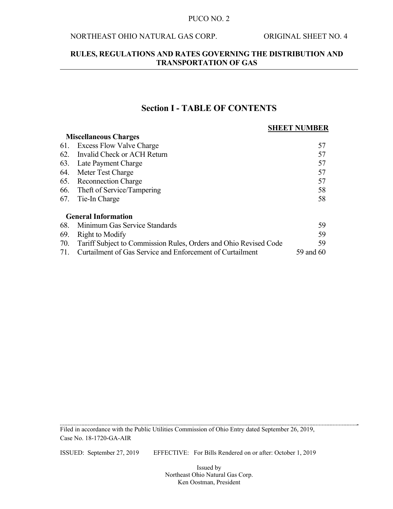### NORTHEAST OHIO NATURAL GAS CORP. ORIGINAL SHEET NO. 4

**Miscellaneous Charges** 

### **RULES, REGULATIONS AND RATES GOVERNING THE DISTRIBUTION AND TRANSPORTATION OF GAS**

## **Section I - TABLE OF CONTENTS**

### **SHEET NUMBER**

|     | 1, Hotelining only Chair Les                                     |           |
|-----|------------------------------------------------------------------|-----------|
| 61. | <b>Excess Flow Valve Charge</b>                                  | 57        |
| 62. | Invalid Check or ACH Return                                      | 57        |
| 63. | Late Payment Charge                                              | 57        |
|     | 64. Meter Test Charge                                            | 57        |
|     | 65. Reconnection Charge                                          | 57        |
|     | 66. Theft of Service/Tampering                                   | 58        |
|     | 67. Tie-In Charge                                                | 58        |
|     | <b>General Information</b>                                       |           |
| 68. | Minimum Gas Service Standards                                    | 59        |
| 69. | Right to Modify                                                  | 59        |
| 70. | Tariff Subject to Commission Rules, Orders and Ohio Revised Code | 59        |
| 71. | Curtailment of Gas Service and Enforcement of Curtailment        | 59 and 60 |

Filed in accordance with the Public Utilities Commission of Ohio Entry dated September 26, 2019, Case No. 18-1720-GA-AIR

ISSUED: September 27, 2019 EFFECTIVE: For Bills Rendered on or after: October 1, 2019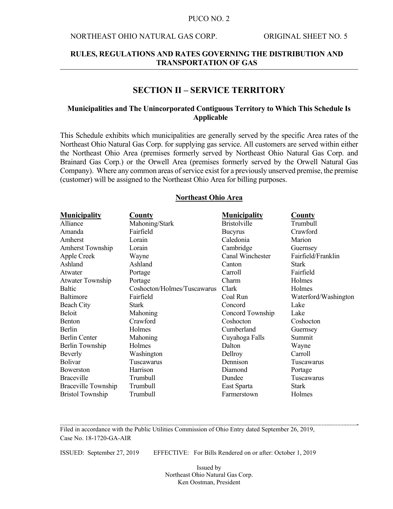#### NORTHEAST OHIO NATURAL GAS CORP. ORIGINAL SHEET NO. 5

### **RULES, REGULATIONS AND RATES GOVERNING THE DISTRIBUTION AND TRANSPORTATION OF GAS**

### **SECTION II – SERVICE TERRITORY**

### **Municipalities and The Unincorporated Contiguous Territory to Which This Schedule Is Applicable**

This Schedule exhibits which municipalities are generally served by the specific Area rates of the Northeast Ohio Natural Gas Corp. for supplying gas service. All customers are served within either the Northeast Ohio Area (premises formerly served by Northeast Ohio Natural Gas Corp. and Brainard Gas Corp.) or the Orwell Area (premises formerly served by the Orwell Natural Gas Company). Where any common areas of service exist for a previously unserved premise, the premise (customer) will be assigned to the Northeast Ohio Area for billing purposes.

| <b>Municipality</b>        | County                      | <b>Municipality</b> | County               |
|----------------------------|-----------------------------|---------------------|----------------------|
| Alliance                   | Mahoning/Stark              | <b>Bristolville</b> | Trumbull             |
| Amanda                     | Fairfield                   | <b>Bucyrus</b>      | Crawford             |
| Amherst                    | Lorain                      | Caledonia           | Marion               |
| <b>Amherst Township</b>    | Lorain                      | Cambridge           | Guernsey             |
| Apple Creek                | Wayne                       | Canal Winchester    | Fairfield/Franklin   |
| Ashland                    | Ashland                     | Canton              | <b>Stark</b>         |
| Atwater                    | Portage                     | Carroll             | Fairfield            |
| <b>Atwater Township</b>    | Portage                     | Charm               | Holmes               |
| Baltic                     | Coshocton/Holmes/Tuscawarus | Clark               | Holmes               |
| Baltimore                  | Fairfield                   | Coal Run            | Waterford/Washington |
| Beach City                 | <b>Stark</b>                | Concord             | Lake                 |
| Beloit                     | Mahoning                    | Concord Township    | Lake                 |
| Benton                     | Crawford                    | Coshocton           | Coshocton            |
| Berlin                     | Holmes                      | Cumberland          | Guernsey             |
| Berlin Center              | Mahoning                    | Cuyahoga Falls      | Summit               |
| Berlin Township            | Holmes                      | Dalton              | Wayne                |
| Beverly                    | Washington                  | Dellroy             | Carroll              |
| <b>Bolivar</b>             | Tuscawarus                  | Dennison            | Tuscawarus           |
| Bowerston                  | Harrison                    | Diamond             | Portage              |
| <b>Braceville</b>          | Trumbull                    | Dundee              | Tuscawarus           |
| <b>Braceville Township</b> | Trumbull                    | East Sparta         | Stark                |
| <b>Bristol Township</b>    | Trumbull                    | Farmerstown         | Holmes               |

#### **Northeast Ohio Area**

Filed in accordance with the Public Utilities Commission of Ohio Entry dated September 26, 2019, Case No. 18-1720-GA-AIR

ISSUED: September 27, 2019 EFFECTIVE: For Bills Rendered on or after: October 1, 2019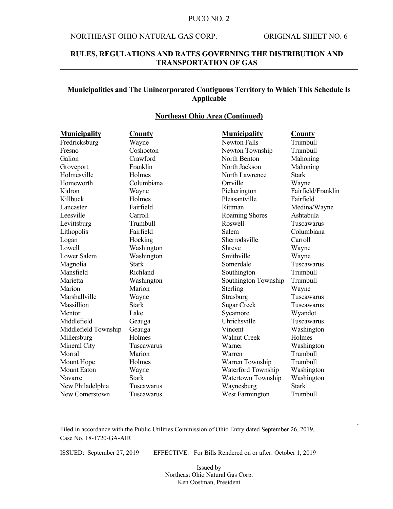### NORTHEAST OHIO NATURAL GAS CORP. ORIGINAL SHEET NO. 6

### **RULES, REGULATIONS AND RATES GOVERNING THE DISTRIBUTION AND TRANSPORTATION OF GAS**

### **Municipalities and The Unincorporated Contiguous Territory to Which This Schedule Is Applicable**

#### **Northeast Ohio Area (Continued)**

| <b>Municipality</b>  | <b>County</b> | <b>Municipality</b>  | <b>County</b>      |
|----------------------|---------------|----------------------|--------------------|
| Fredricksburg        | Wayne         | <b>Newton Falls</b>  | Trumbull           |
| Fresno               | Coshocton     | Newton Township      | Trumbull           |
| Galion               | Crawford      | North Benton         | Mahoning           |
| Groveport            | Franklin      | North Jackson        | Mahoning           |
| Holmesville          | Holmes        | North Lawrence       | <b>Stark</b>       |
| Homeworth            | Columbiana    | Orrville             | Wayne              |
| Kidron               | Wayne         | Pickerington         | Fairfield/Franklin |
| Killbuck             | Holmes        | Pleasantville        | Fairfield          |
| Lancaster            | Fairfield     | Rittman              | Medina/Wayne       |
| Leesville            | Carroll       | Roaming Shores       | Ashtabula          |
| Levittsburg          | Trumbull      | Roswell              | Tuscawarus         |
| Lithopolis           | Fairfield     | Salem                | Columbiana         |
| Logan                | Hocking       | Sherrodsville        | Carroll            |
| Lowell               | Washington    | Shreve               | Wayne              |
| Lower Salem          | Washington    | Smithville           | Wayne              |
| Magnolia             | Stark         | Somerdale            | Tuscawarus         |
| Mansfield            | Richland      | Southington          | Trumbull           |
| Marietta             | Washington    | Southington Township | Trumbull           |
| Marion               | Marion        | Sterling             | Wayne              |
| Marshallville        | Wayne         | Strasburg            | Tuscawarus         |
| Massillion           | <b>Stark</b>  | <b>Sugar Creek</b>   | Tuscawarus         |
| Mentor               | Lake          | Sycamore             | Wyandot            |
| Middlefield          | Geauga        | Uhrichsville         | Tuscawarus         |
| Middlefield Township | Geauga        | Vincent              | Washington         |
| Millersburg          | Holmes        | <b>Walnut Creek</b>  | Holmes             |
| Mineral City         | Tuscawarus    | Warner               | Washington         |
| Morral               | Marion        | Warren               | Trumbull           |
| Mount Hope           | Holmes        | Warren Township      | Trumbull           |
| <b>Mount Eaton</b>   | Wayne         | Waterford Township   | Washington         |
| Navarre              | <b>Stark</b>  | Watertown Township   | Washington         |
| New Philadelphia     | Tuscawarus    | Waynesburg           | <b>Stark</b>       |
| New Comerstown       | Tuscawarus    | West Farmington      | Trumbull           |

Filed in accordance with the Public Utilities Commission of Ohio Entry dated September 26, 2019, Case No. 18-1720-GA-AIR

ISSUED: September 27, 2019 EFFECTIVE: For Bills Rendered on or after: October 1, 2019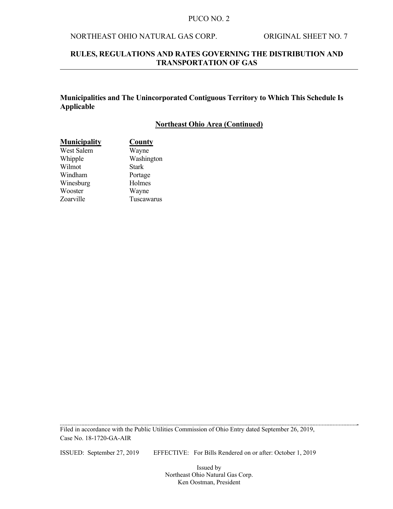### NORTHEAST OHIO NATURAL GAS CORP. ORIGINAL SHEET NO. 7

### **RULES, REGULATIONS AND RATES GOVERNING THE DISTRIBUTION AND TRANSPORTATION OF GAS**

### **Municipalities and The Unincorporated Contiguous Territory to Which This Schedule Is Applicable**

#### **Northeast Ohio Area (Continued)**

| <b>Municipality</b> | <b>County</b> |
|---------------------|---------------|
| West Salem          | Wayne         |
| Whipple             | Washington    |
| Wilmot              | <b>Stark</b>  |
| Windham             | Portage       |
| Winesburg           | Holmes        |
| Wooster             | Wayne         |
| Zoarville           | Tuscawarus    |

Filed in accordance with the Public Utilities Commission of Ohio Entry dated September 26, 2019, Case No. 18-1720-GA-AIR

ISSUED: September 27, 2019 EFFECTIVE: For Bills Rendered on or after: October 1, 2019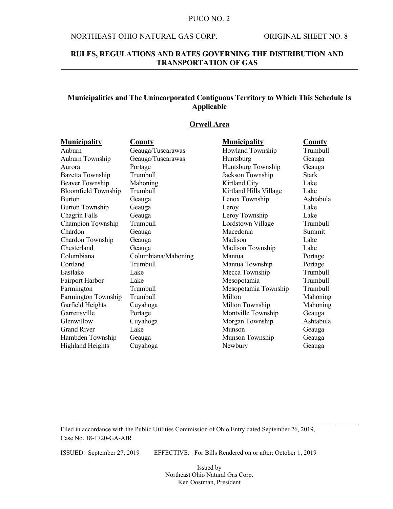#### NORTHEAST OHIO NATURAL GAS CORP. ORIGINAL SHEET NO. 8

### **RULES, REGULATIONS AND RATES GOVERNING THE DISTRIBUTION AND TRANSPORTATION OF GAS**

### **Municipalities and The Unincorporated Contiguous Territory to Which This Schedule Is Applicable**

#### **Orwell Area**

| <b>Municipality</b>        | <b>County</b>       | <b>Municipality</b>    | <b>County</b> |
|----------------------------|---------------------|------------------------|---------------|
| Auburn                     | Geauga/Tuscarawas   | Howland Township       | Trumbull      |
| Auburn Township            | Geauga/Tuscarawas   | Huntsburg              | Geauga        |
| Aurora                     | Portage             | Huntsburg Township     | Geauga        |
| Bazetta Township           | Trumbull            | Jackson Township       | <b>Stark</b>  |
| <b>Beaver Township</b>     | Mahoning            | Kirtland City          | Lake          |
| <b>Bloomfield Township</b> | Trumbull            | Kirtland Hills Village | Lake          |
| <b>Burton</b>              | Geauga              | Lenox Township         | Ashtabula     |
| <b>Burton Township</b>     | Geauga              | Leroy                  | Lake          |
| Chagrin Falls              | Geauga              | Leroy Township         | Lake          |
| Champion Township          | Trumbull            | Lordstown Village      | Trumbull      |
| Chardon                    | Geauga              | Macedonia              | Summit        |
| Chardon Township           | Geauga              | Madison                | Lake          |
| Chesterland                | Geauga              | Madison Township       | Lake          |
| Columbiana                 | Columbiana/Mahoning | Mantua                 | Portage       |
| Cortland                   | Trumbull            | Mantua Township        | Portage       |
| Eastlake                   | Lake                | Mecca Township         | Trumbull      |
| Fairport Harbor            | Lake                | Mesopotamia            | Trumbull      |
| Farmington                 | Trumbull            | Mesopotamia Township   | Trumbull      |
| Farmington Township        | Trumbull            | Milton                 | Mahoning      |
| Garfield Heights           | Cuyahoga            | Milton Township        | Mahoning      |
| Garrettsville              | Portage             | Montville Township     | Geauga        |
| Glenwillow                 | Cuyahoga            | Morgan Township        | Ashtabula     |
| <b>Grand River</b>         | Lake                | Munson                 | Geauga        |
| Hambden Township           | Geauga              | Munson Township        | Geauga        |
| <b>Highland Heights</b>    | Cuyahoga            | Newbury                | Geauga        |

Filed in accordance with the Public Utilities Commission of Ohio Entry dated September 26, 2019, Case No. 18-1720-GA-AIR

ISSUED: September 27, 2019 EFFECTIVE: For Bills Rendered on or after: October 1, 2019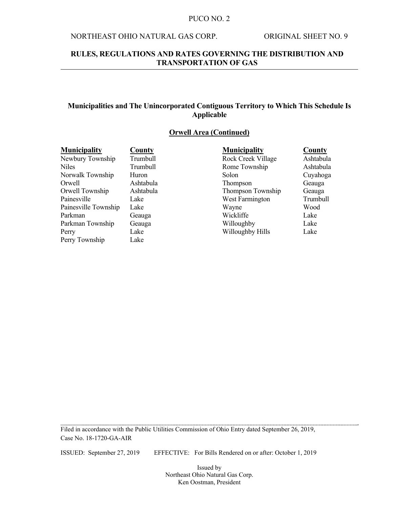### NORTHEAST OHIO NATURAL GAS CORP. ORIGINAL SHEET NO. 9

### **RULES, REGULATIONS AND RATES GOVERNING THE DISTRIBUTION AND TRANSPORTATION OF GAS**

### **Municipalities and The Unincorporated Contiguous Territory to Which This Schedule Is Applicable**

### **Orwell Area (Continued)**

| <b>Municipality</b>  | County    | <b>Municipality</b> | County    |
|----------------------|-----------|---------------------|-----------|
| Newbury Township     | Trumbull  | Rock Creek Village  | Ashtabula |
| <b>Niles</b>         | Trumbull  | Rome Township       | Ashtabula |
| Norwalk Township     | Huron     | Solon               | Cuyahoga  |
| Orwell               | Ashtabula | <b>Thompson</b>     | Geauga    |
| Orwell Township      | Ashtabula | Thompson Township   | Geauga    |
| Painesville          | Lake      | West Farmington     | Trumbull  |
| Painesville Township | Lake      | Wayne               | Wood      |
| Parkman              | Geauga    | Wickliffe           | Lake      |
| Parkman Township     | Geauga    | Willoughby          | Lake      |
| Perry                | Lake      | Willoughby Hills    | Lake      |
| Perry Township       | Lake      |                     |           |

Filed in accordance with the Public Utilities Commission of Ohio Entry dated September 26, 2019, Case No. 18-1720-GA-AIR

ISSUED: September 27, 2019 EFFECTIVE: For Bills Rendered on or after: October 1, 2019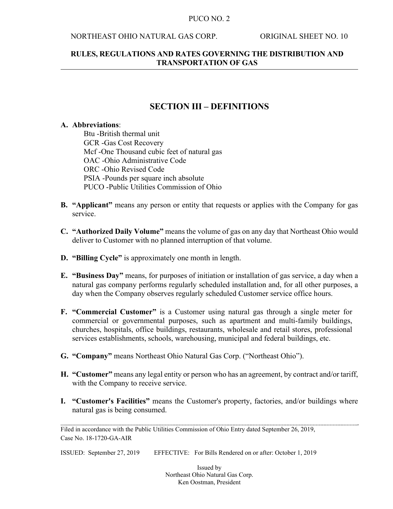### NORTHEAST OHIO NATURAL GAS CORP. ORIGINAL SHEET NO. 10

### **RULES, REGULATIONS AND RATES GOVERNING THE DISTRIBUTION AND TRANSPORTATION OF GAS**

## **SECTION III – DEFINITIONS**

### **A. Abbreviations**:

Btu -British thermal unit GCR -Gas Cost Recovery Mcf -One Thousand cubic feet of natural gas OAC -Ohio Administrative Code ORC -Ohio Revised Code PSIA -Pounds per square inch absolute PUCO -Public Utilities Commission of Ohio

- **B. "Applicant"** means any person or entity that requests or applies with the Company for gas service.
- **C. "Authorized Daily Volume"** means the volume of gas on any day that Northeast Ohio would deliver to Customer with no planned interruption of that volume.
- **D. "Billing Cycle"** is approximately one month in length.
- **E. "Business Day"** means, for purposes of initiation or installation of gas service, a day when a natural gas company performs regularly scheduled installation and, for all other purposes, a day when the Company observes regularly scheduled Customer service office hours.
- **F. "Commercial Customer"** is a Customer using natural gas through a single meter for commercial or governmental purposes, such as apartment and multi-family buildings, churches, hospitals, office buildings, restaurants, wholesale and retail stores, professional services establishments, schools, warehousing, municipal and federal buildings, etc.
- **G. "Company"** means Northeast Ohio Natural Gas Corp. ("Northeast Ohio").
- **H. "Customer"** means any legal entity or person who has an agreement, by contract and/or tariff, with the Company to receive service.
- **I. "Customer's Facilities"** means the Customer's property, factories, and/or buildings where natural gas is being consumed.

Filed in accordance with the Public Utilities Commission of Ohio Entry dated September 26, 2019, Case No. 18-1720-GA-AIR

ISSUED: September 27, 2019 EFFECTIVE: For Bills Rendered on or after: October 1, 2019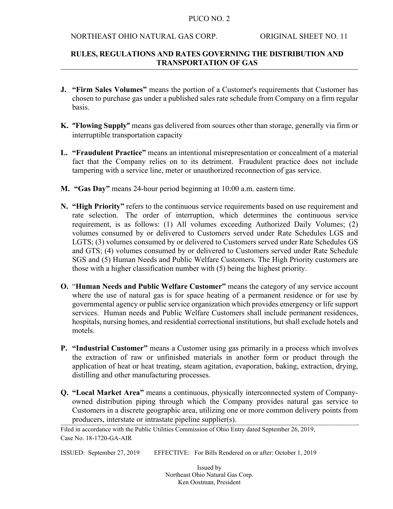#### NORTHEAST OHIO NATURAL GAS CORP. ORIGINAL SHEET NO. 11

### **RULES, REGULATIONS AND RATES GOVERNING THE DISTRIBUTION AND TRANSPORTATION OF GAS**

- **J. "Firm Sales Volumes"** means the portion of a Customer's requirements that Customer has chosen to purchase gas under a published sales rate schedule from Company on a firm regular basis.
- **K. "Flowing Supply"** means gas delivered from sources other than storage, generally via firm or interruptible transportation capacity
- **L. "Fraudulent Practice"** means an intentional misrepresentation or concealment of a material fact that the Company relies on to its detriment. Fraudulent practice does not include tampering with a service line, meter or unauthorized reconnection of gas service.
- **M. "Gas Day"** means 24-hour period beginning at 10:00 a.m. eastern time.
- **N. "High Priority"** refers to the continuous service requirements based on use requirement and rate selection. The order of interruption, which determines the continuous service requirement, is as follows: (1) All volumes exceeding Authorized Daily Volumes; (2) volumes consumed by or delivered to Customers served under Rate Schedules LGS and LGTS; (3) volumes consumed by or delivered to Customers served under Rate Schedules GS and GTS; (4) volumes consumed by or delivered to Customers served under Rate Schedule SGS and (5) Human Needs and Public Welfare Customers. The High Priority customers are those with a higher classification number with (5) being the highest priority.
- **O.** "**Human Needs and Public Welfare Customer"** means the category of any service account where the use of natural gas is for space heating of a permanent residence or for use by governmental agency or public service organization which provides emergency or life support services. Human needs and Public Welfare Customers shall include permanent residences, hospitals, nursing homes, and residential correctional institutions, but shall exclude hotels and motels.
- **P. "Industrial Customer"** means a Customer using gas primarily in a process which involves the extraction of raw or unfinished materials in another form or product through the application of heat or heat treating, steam agitation, evaporation, baking, extraction, drying, distilling and other manufacturing processes.
- **Q. "Local Market Area"** means a continuous, physically interconnected system of Companyowned distribution piping through which the Company provides natural gas service to Customers in a discrete geographic area, utilizing one or more common delivery points from producers, interstate or intrastate pipeline supplier(s).

ISSUED: September 27, 2019 EFFECTIVE: For Bills Rendered on or after: October 1, 2019

Filed in accordance with the Public Utilities Commission of Ohio Entry dated September 26, 2019, Case No. 18-1720-GA-AIR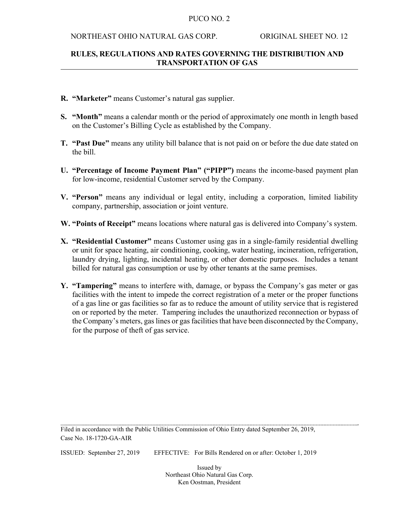#### NORTHEAST OHIO NATURAL GAS CORP. ORIGINAL SHEET NO. 12

### **RULES, REGULATIONS AND RATES GOVERNING THE DISTRIBUTION AND TRANSPORTATION OF GAS**

- **R. "Marketer"** means Customer's natural gas supplier.
- **S. "Month"** means a calendar month or the period of approximately one month in length based on the Customer's Billing Cycle as established by the Company.
- **T. "Past Due"** means any utility bill balance that is not paid on or before the due date stated on the bill.
- **U. "Percentage of Income Payment Plan" ("PIPP")** means the income-based payment plan for low-income, residential Customer served by the Company.
- **V. "Person"** means any individual or legal entity, including a corporation, limited liability company, partnership, association or joint venture.
- **W. "Points of Receipt"** means locations where natural gas is delivered into Company's system.
- **X. "Residential Customer"** means Customer using gas in a single-family residential dwelling or unit for space heating, air conditioning, cooking, water heating, incineration, refrigeration, laundry drying, lighting, incidental heating, or other domestic purposes. Includes a tenant billed for natural gas consumption or use by other tenants at the same premises.
- **Y. "Tampering"** means to interfere with, damage, or bypass the Company's gas meter or gas facilities with the intent to impede the correct registration of a meter or the proper functions of a gas line or gas facilities so far as to reduce the amount of utility service that is registered on or reported by the meter. Tampering includes the unauthorized reconnection or bypass of the Company's meters, gas lines or gas facilities that have been disconnected by the Company, for the purpose of theft of gas service.

Filed in accordance with the Public Utilities Commission of Ohio Entry dated September 26, 2019, Case No. 18-1720-GA-AIR

ISSUED: September 27, 2019 EFFECTIVE: For Bills Rendered on or after: October 1, 2019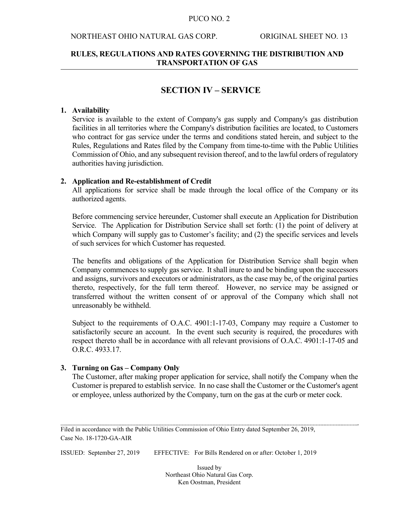#### NORTHEAST OHIO NATURAL GAS CORP. ORIGINAL SHEET NO. 13

### **RULES, REGULATIONS AND RATES GOVERNING THE DISTRIBUTION AND TRANSPORTATION OF GAS**

### **SECTION IV – SERVICE**

#### **1. Availability**

Service is available to the extent of Company's gas supply and Company's gas distribution facilities in all territories where the Company's distribution facilities are located, to Customers who contract for gas service under the terms and conditions stated herein, and subject to the Rules, Regulations and Rates filed by the Company from time-to-time with the Public Utilities Commission of Ohio, and any subsequent revision thereof, and to the lawful orders of regulatory authorities having jurisdiction.

#### **2. Application and Re-establishment of Credit**

All applications for service shall be made through the local office of the Company or its authorized agents.

Before commencing service hereunder, Customer shall execute an Application for Distribution Service. The Application for Distribution Service shall set forth: (1) the point of delivery at which Company will supply gas to Customer's facility; and (2) the specific services and levels of such services for which Customer has requested.

The benefits and obligations of the Application for Distribution Service shall begin when Company commences to supply gas service. It shall inure to and be binding upon the successors and assigns, survivors and executors or administrators, as the case may be, of the original parties thereto, respectively, for the full term thereof. However, no service may be assigned or transferred without the written consent of or approval of the Company which shall not unreasonably be withheld.

Subject to the requirements of O.A.C. 4901:1-17-03, Company may require a Customer to satisfactorily secure an account. In the event such security is required, the procedures with respect thereto shall be in accordance with all relevant provisions of O.A.C. 4901:1-17-05 and O.R.C. 4933.17.

### **3. Turning on Gas – Company Only**

The Customer, after making proper application for service, shall notify the Company when the Customer is prepared to establish service. In no case shall the Customer or the Customer's agent or employee, unless authorized by the Company, turn on the gas at the curb or meter cock.

ISSUED: September 27, 2019 EFFECTIVE: For Bills Rendered on or after: October 1, 2019

Filed in accordance with the Public Utilities Commission of Ohio Entry dated September 26, 2019, Case No. 18-1720-GA-AIR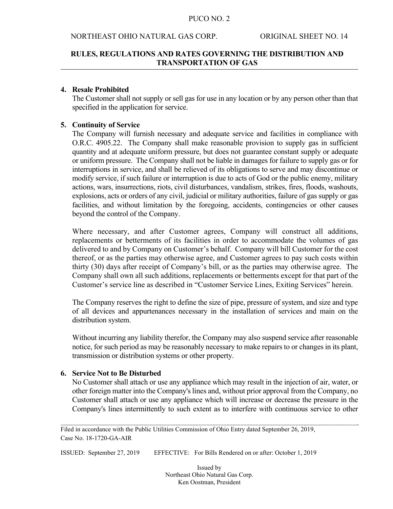#### NORTHEAST OHIO NATURAL GAS CORP. ORIGINAL SHEET NO. 14

### **RULES, REGULATIONS AND RATES GOVERNING THE DISTRIBUTION AND TRANSPORTATION OF GAS**

### **4. Resale Prohibited**

 The Customer shall not supply or sell gas for use in any location or by any person other than that specified in the application for service.

### **5. Continuity of Service**

The Company will furnish necessary and adequate service and facilities in compliance with O.R.C. 4905.22. The Company shall make reasonable provision to supply gas in sufficient quantity and at adequate uniform pressure, but does not guarantee constant supply or adequate or uniform pressure. The Company shall not be liable in damages for failure to supply gas or for interruptions in service, and shall be relieved of its obligations to serve and may discontinue or modify service, if such failure or interruption is due to acts of God or the public enemy, military actions, wars, insurrections, riots, civil disturbances, vandalism, strikes, fires, floods, washouts, explosions, acts or orders of any civil, judicial or military authorities, failure of gas supply or gas facilities, and without limitation by the foregoing, accidents, contingencies or other causes beyond the control of the Company.

Where necessary, and after Customer agrees, Company will construct all additions, replacements or betterments of its facilities in order to accommodate the volumes of gas delivered to and by Company on Customer's behalf. Company will bill Customer for the cost thereof, or as the parties may otherwise agree, and Customer agrees to pay such costs within thirty (30) days after receipt of Company's bill, or as the parties may otherwise agree. The Company shall own all such additions, replacements or betterments except for that part of the Customer's service line as described in "Customer Service Lines, Exiting Services" herein.

The Company reserves the right to define the size of pipe, pressure of system, and size and type of all devices and appurtenances necessary in the installation of services and main on the distribution system.

Without incurring any liability therefor, the Company may also suspend service after reasonable notice, for such period as may be reasonably necessary to make repairs to or changes in its plant, transmission or distribution systems or other property.

#### **6. Service Not to Be Disturbed**

No Customer shall attach or use any appliance which may result in the injection of air, water, or other foreign matter into the Company's lines and, without prior approval from the Company, no Customer shall attach or use any appliance which will increase or decrease the pressure in the Company's lines intermittently to such extent as to interfere with continuous service to other

Filed in accordance with the Public Utilities Commission of Ohio Entry dated September 26, 2019, Case No. 18-1720-GA-AIR

ISSUED: September 27, 2019 EFFECTIVE: For Bills Rendered on or after: October 1, 2019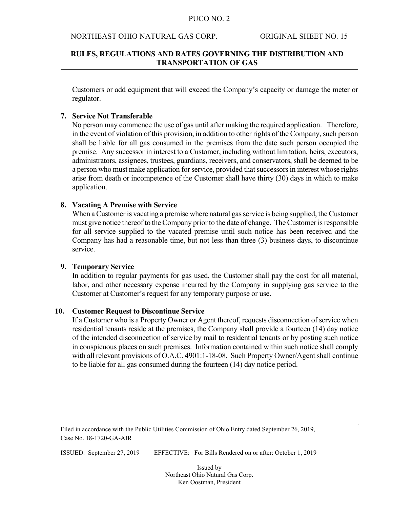#### NORTHEAST OHIO NATURAL GAS CORP. ORIGINAL SHEET NO. 15

### **RULES, REGULATIONS AND RATES GOVERNING THE DISTRIBUTION AND TRANSPORTATION OF GAS**

Customers or add equipment that will exceed the Company's capacity or damage the meter or regulator.

#### **7. Service Not Transferable**

No person may commence the use of gas until after making the required application. Therefore, in the event of violation of this provision, in addition to other rights of the Company, such person shall be liable for all gas consumed in the premises from the date such person occupied the premise. Any successor in interest to a Customer, including without limitation, heirs, executors, administrators, assignees, trustees, guardians, receivers, and conservators, shall be deemed to be a person who must make application for service, provided that successors in interest whose rights arise from death or incompetence of the Customer shall have thirty (30) days in which to make application.

#### **8. Vacating A Premise with Service**

 When a Customer is vacating a premise where natural gas service is being supplied, the Customer must give notice thereof to the Company prior to the date of change. The Customer is responsible for all service supplied to the vacated premise until such notice has been received and the Company has had a reasonable time, but not less than three (3) business days, to discontinue service.

#### **9. Temporary Service**

In addition to regular payments for gas used, the Customer shall pay the cost for all material, labor, and other necessary expense incurred by the Company in supplying gas service to the Customer at Customer's request for any temporary purpose or use.

#### **10. Customer Request to Discontinue Service**

 If a Customer who is a Property Owner or Agent thereof, requests disconnection of service when residential tenants reside at the premises, the Company shall provide a fourteen (14) day notice of the intended disconnection of service by mail to residential tenants or by posting such notice in conspicuous places on such premises. Information contained within such notice shall comply with all relevant provisions of O.A.C. 4901:1-18-08. Such Property Owner/Agent shall continue to be liable for all gas consumed during the fourteen (14) day notice period.

Filed in accordance with the Public Utilities Commission of Ohio Entry dated September 26, 2019, Case No. 18-1720-GA-AIR

ISSUED: September 27, 2019 EFFECTIVE: For Bills Rendered on or after: October 1, 2019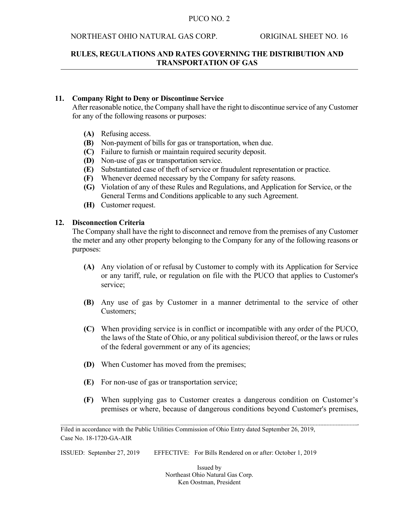### NORTHEAST OHIO NATURAL GAS CORP. ORIGINAL SHEET NO. 16

### **RULES, REGULATIONS AND RATES GOVERNING THE DISTRIBUTION AND TRANSPORTATION OF GAS**

### **11. Company Right to Deny or Discontinue Service**

 After reasonable notice, the Company shall have the right to discontinue service of any Customer for any of the following reasons or purposes:

- **(A)** Refusing access.
- **(B)** Non-payment of bills for gas or transportation, when due.
- **(C)** Failure to furnish or maintain required security deposit.
- **(D)** Non-use of gas or transportation service.
- **(E)** Substantiated case of theft of service or fraudulent representation or practice.
- **(F)** Whenever deemed necessary by the Company for safety reasons.
- **(G)** Violation of any of these Rules and Regulations, and Application for Service, or the General Terms and Conditions applicable to any such Agreement.
- **(H)** Customer request.

### **12. Disconnection Criteria**

The Company shall have the right to disconnect and remove from the premises of any Customer the meter and any other property belonging to the Company for any of the following reasons or purposes:

- **(A)** Any violation of or refusal by Customer to comply with its Application for Service or any tariff, rule, or regulation on file with the PUCO that applies to Customer's service;
- **(B)** Any use of gas by Customer in a manner detrimental to the service of other Customers;
- **(C)** When providing service is in conflict or incompatible with any order of the PUCO, the laws of the State of Ohio, or any political subdivision thereof, or the laws or rules of the federal government or any of its agencies;
- **(D)** When Customer has moved from the premises;
- **(E)** For non-use of gas or transportation service;
- **(F)** When supplying gas to Customer creates a dangerous condition on Customer's premises or where, because of dangerous conditions beyond Customer's premises,

ISSUED: September 27, 2019 EFFECTIVE: For Bills Rendered on or after: October 1, 2019

Filed in accordance with the Public Utilities Commission of Ohio Entry dated September 26, 2019, Case No. 18-1720-GA-AIR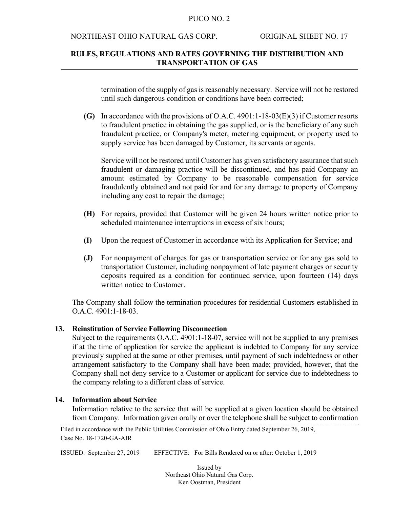#### NORTHEAST OHIO NATURAL GAS CORP. ORIGINAL SHEET NO. 17

### **RULES, REGULATIONS AND RATES GOVERNING THE DISTRIBUTION AND TRANSPORTATION OF GAS**

termination of the supply of gas is reasonably necessary. Service will not be restored until such dangerous condition or conditions have been corrected;

**(G)** In accordance with the provisions of O.A.C. 4901:1-18-03(E)(3) if Customer resorts to fraudulent practice in obtaining the gas supplied, or is the beneficiary of any such fraudulent practice, or Company's meter, metering equipment, or property used to supply service has been damaged by Customer, its servants or agents.

 Service will not be restored until Customer has given satisfactory assurance that such fraudulent or damaging practice will be discontinued, and has paid Company an amount estimated by Company to be reasonable compensation for service fraudulently obtained and not paid for and for any damage to property of Company including any cost to repair the damage;

- **(H)** For repairs, provided that Customer will be given 24 hours written notice prior to scheduled maintenance interruptions in excess of six hours;
- **(I)** Upon the request of Customer in accordance with its Application for Service; and
- **(J)** For nonpayment of charges for gas or transportation service or for any gas sold to transportation Customer, including nonpayment of late payment charges or security deposits required as a condition for continued service, upon fourteen (14) days written notice to Customer.

The Company shall follow the termination procedures for residential Customers established in O.A.C. 4901:1-18-03.

### **13. Reinstitution of Service Following Disconnection**

 Subject to the requirements O.A.C. 4901:1-18-07, service will not be supplied to any premises if at the time of application for service the applicant is indebted to Company for any service previously supplied at the same or other premises, until payment of such indebtedness or other arrangement satisfactory to the Company shall have been made; provided, however, that the Company shall not deny service to a Customer or applicant for service due to indebtedness to the company relating to a different class of service.

### **14. Information about Service**

 Information relative to the service that will be supplied at a given location should be obtained from Company. Information given orally or over the telephone shall be subject to confirmation

Filed in accordance with the Public Utilities Commission of Ohio Entry dated September 26, 2019, Case No. 18-1720-GA-AIR

ISSUED: September 27, 2019 EFFECTIVE: For Bills Rendered on or after: October 1, 2019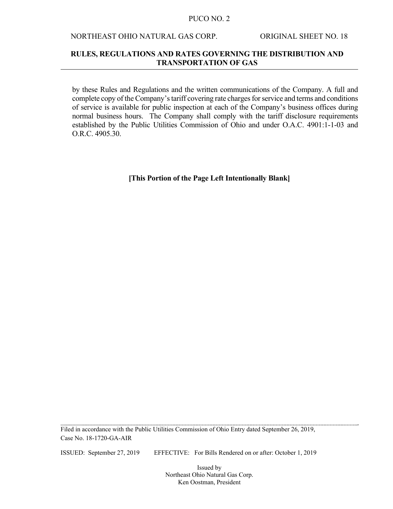### NORTHEAST OHIO NATURAL GAS CORP. ORIGINAL SHEET NO. 18

### **RULES, REGULATIONS AND RATES GOVERNING THE DISTRIBUTION AND TRANSPORTATION OF GAS**

by these Rules and Regulations and the written communications of the Company. A full and complete copy of the Company's tariff covering rate charges for service and terms and conditions of service is available for public inspection at each of the Company's business offices during normal business hours. The Company shall comply with the tariff disclosure requirements established by the Public Utilities Commission of Ohio and under O.A.C. 4901:1-1-03 and O.R.C. 4905.30.

#### **[This Portion of the Page Left Intentionally Blank]**

Filed in accordance with the Public Utilities Commission of Ohio Entry dated September 26, 2019, Case No. 18-1720-GA-AIR

ISSUED: September 27, 2019 EFFECTIVE: For Bills Rendered on or after: October 1, 2019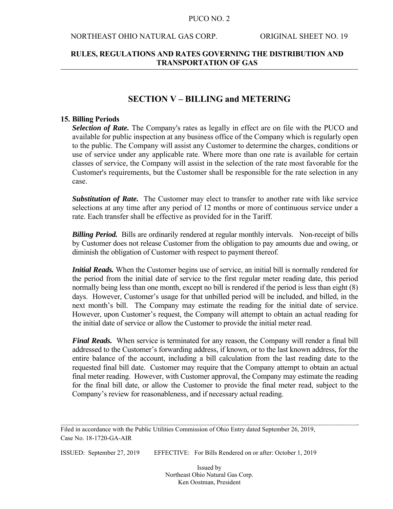#### NORTHEAST OHIO NATURAL GAS CORP. ORIGINAL SHEET NO. 19

### **RULES, REGULATIONS AND RATES GOVERNING THE DISTRIBUTION AND TRANSPORTATION OF GAS**

### **SECTION V – BILLING and METERING**

#### **15. Billing Periods**

 *Selection of Rate.* The Company's rates as legally in effect are on file with the PUCO and available for public inspection at any business office of the Company which is regularly open to the public. The Company will assist any Customer to determine the charges, conditions or use of service under any applicable rate. Where more than one rate is available for certain classes of service, the Company will assist in the selection of the rate most favorable for the Customer's requirements, but the Customer shall be responsible for the rate selection in any case.

 *Substitution of Rate.* The Customer may elect to transfer to another rate with like service selections at any time after any period of 12 months or more of continuous service under a rate. Each transfer shall be effective as provided for in the Tariff.

*Billing Period.* Bills are ordinarily rendered at regular monthly intervals. Non-receipt of bills by Customer does not release Customer from the obligation to pay amounts due and owing, or diminish the obligation of Customer with respect to payment thereof.

 *Initial Reads.* When the Customer begins use of service, an initial bill is normally rendered for the period from the initial date of service to the first regular meter reading date, this period normally being less than one month, except no bill is rendered if the period is less than eight  $(8)$ days. However, Customer's usage for that unbilled period will be included, and billed, in the next month's bill. The Company may estimate the reading for the initial date of service. However, upon Customer's request, the Company will attempt to obtain an actual reading for the initial date of service or allow the Customer to provide the initial meter read.

*Final Reads.* When service is terminated for any reason, the Company will render a final bill addressed to the Customer's forwarding address, if known, or to the last known address, for the entire balance of the account, including a bill calculation from the last reading date to the requested final bill date. Customer may require that the Company attempt to obtain an actual final meter reading. However, with Customer approval, the Company may estimate the reading for the final bill date, or allow the Customer to provide the final meter read, subject to the Company's review for reasonableness, and if necessary actual reading.

Filed in accordance with the Public Utilities Commission of Ohio Entry dated September 26, 2019, Case No. 18-1720-GA-AIR

ISSUED: September 27, 2019 EFFECTIVE: For Bills Rendered on or after: October 1, 2019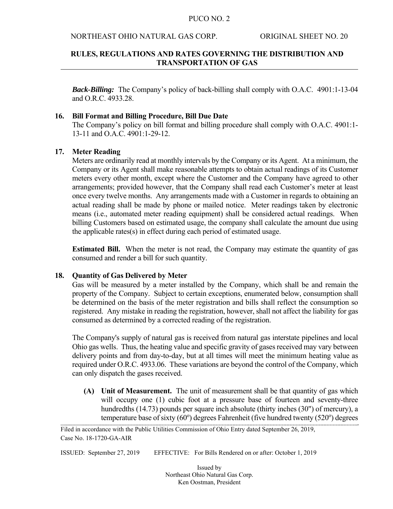#### NORTHEAST OHIO NATURAL GAS CORP. ORIGINAL SHEET NO. 20

### **RULES, REGULATIONS AND RATES GOVERNING THE DISTRIBUTION AND TRANSPORTATION OF GAS**

*Back-Billing:*The Company's policy of back-billing shall comply with O.A.C. 4901:1-13-04 and O.R.C. 4933.28.

### **16. Bill Format and Billing Procedure, Bill Due Date**

The Company's policy on bill format and billing procedure shall comply with O.A.C. 4901:1- 13-11 and O.A.C. 4901:1-29-12.

### **17. Meter Reading**

 Meters are ordinarily read at monthly intervals by the Company or its Agent. At a minimum, the Company or its Agent shall make reasonable attempts to obtain actual readings of its Customer meters every other month, except where the Customer and the Company have agreed to other arrangements; provided however, that the Company shall read each Customer's meter at least once every twelve months. Any arrangements made with a Customer in regards to obtaining an actual reading shall be made by phone or mailed notice. Meter readings taken by electronic means (i.e., automated meter reading equipment) shall be considered actual readings. When billing Customers based on estimated usage, the company shall calculate the amount due using the applicable rates(s) in effect during each period of estimated usage.

**Estimated Bill.** When the meter is not read, the Company may estimate the quantity of gas consumed and render a bill for such quantity.

#### **18. Quantity of Gas Delivered by Meter**

 Gas will be measured by a meter installed by the Company, which shall be and remain the property of the Company. Subject to certain exceptions, enumerated below, consumption shall be determined on the basis of the meter registration and bills shall reflect the consumption so registered. Any mistake in reading the registration, however, shall not affect the liability for gas consumed as determined by a corrected reading of the registration.

 The Company's supply of natural gas is received from natural gas interstate pipelines and local Ohio gas wells. Thus, the heating value and specific gravity of gases received may vary between delivery points and from day-to-day, but at all times will meet the minimum heating value as required under O.R.C. 4933.06. These variations are beyond the control of the Company, which can only dispatch the gases received.

**(A) Unit of Measurement.** The unit of measurement shall be that quantity of gas which will occupy one (1) cubic foot at a pressure base of fourteen and seventy-three hundredths (14.73) pounds per square inch absolute (thirty inches (30") of mercury), a temperature base of sixty  $(60^{\circ})$  degrees Fahrenheit (five hundred twenty  $(520^{\circ})$  degrees

Filed in accordance with the Public Utilities Commission of Ohio Entry dated September 26, 2019, Case No. 18-1720-GA-AIR

ISSUED: September 27, 2019 EFFECTIVE: For Bills Rendered on or after: October 1, 2019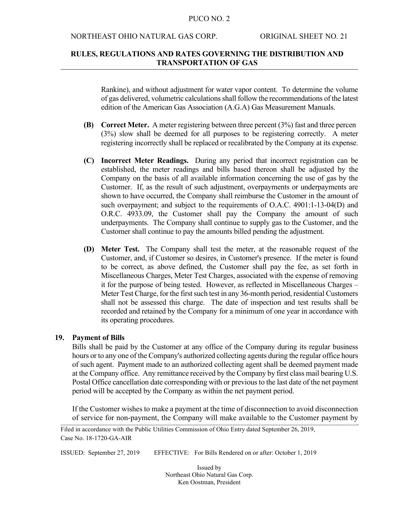#### NORTHEAST OHIO NATURAL GAS CORP. ORIGINAL SHEET NO. 21

### **RULES, REGULATIONS AND RATES GOVERNING THE DISTRIBUTION AND TRANSPORTATION OF GAS**

Rankine), and without adjustment for water vapor content. To determine the volume of gas delivered, volumetric calculations shall follow the recommendations of the latest edition of the American Gas Association (A.G.A) Gas Measurement Manuals.

- **(B) Correct Meter.** A meter registering between three percent (3%) fast and three percent (3%) slow shall be deemed for all purposes to be registering correctly. A meter registering incorrectly shall be replaced or recalibrated by the Company at its expense.
- **(C) Incorrect Meter Readings.** During any period that incorrect registration can be established, the meter readings and bills based thereon shall be adjusted by the Company on the basis of all available information concerning the use of gas by the Customer. If, as the result of such adjustment, overpayments or underpayments are shown to have occurred, the Company shall reimburse the Customer in the amount of such overpayment; and subject to the requirements of O.A.C. 4901:1-13-04(D) and O.R.C. 4933.09, the Customer shall pay the Company the amount of such underpayments. The Company shall continue to supply gas to the Customer, and the Customer shall continue to pay the amounts billed pending the adjustment.
- **(D) Meter Test.** The Company shall test the meter, at the reasonable request of the Customer, and, if Customer so desires, in Customer's presence. If the meter is found to be correct, as above defined, the Customer shall pay the fee, as set forth in Miscellaneous Charges, Meter Test Charges, associated with the expense of removing it for the purpose of being tested. However, as reflected in Miscellaneous Charges – Meter Test Charge, for the first such test in any 36-month period, residential Customers shall not be assessed this charge. The date of inspection and test results shall be recorded and retained by the Company for a minimum of one year in accordance with its operating procedures.

#### **19. Payment of Bills**

 Bills shall be paid by the Customer at any office of the Company during its regular business hours or to any one of the Company's authorized collecting agents during the regular office hours of such agent. Payment made to an authorized collecting agent shall be deemed payment made at the Company office. Any remittance received by the Company by first class mail bearing U.S. Postal Office cancellation date corresponding with or previous to the last date of the net payment period will be accepted by the Company as within the net payment period.

 If the Customer wishes to make a payment at the time of disconnection to avoid disconnection of service for non-payment, the Company will make available to the Customer payment by

ISSUED: September 27, 2019 EFFECTIVE: For Bills Rendered on or after: October 1, 2019

Filed in accordance with the Public Utilities Commission of Ohio Entry dated September 26, 2019, Case No. 18-1720-GA-AIR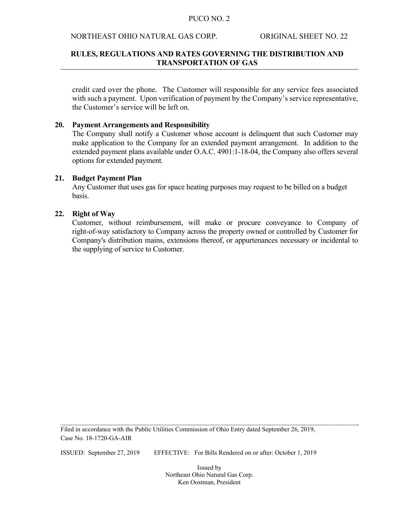### NORTHEAST OHIO NATURAL GAS CORP. ORIGINAL SHEET NO. 22

### **RULES, REGULATIONS AND RATES GOVERNING THE DISTRIBUTION AND TRANSPORTATION OF GAS**

credit card over the phone. The Customer will responsible for any service fees associated with such a payment. Upon verification of payment by the Company's service representative, the Customer's service will be left on.

#### **20. Payment Arrangements and Responsibility**

 The Company shall notify a Customer whose account is delinquent that such Customer may make application to the Company for an extended payment arrangement. In addition to the extended payment plans available under O.A.C. 4901:1-18-04, the Company also offers several options for extended payment.

#### **21. Budget Payment Plan**

 Any Customer that uses gas for space heating purposes may request to be billed on a budget basis.

#### **22. Right of Way**

 Customer, without reimbursement, will make or procure conveyance to Company of right-of-way satisfactory to Company across the property owned or controlled by Customer for Company's distribution mains, extensions thereof, or appurtenances necessary or incidental to the supplying of service to Customer.

Filed in accordance with the Public Utilities Commission of Ohio Entry dated September 26, 2019, Case No. 18-1720-GA-AIR

ISSUED: September 27, 2019 EFFECTIVE: For Bills Rendered on or after: October 1, 2019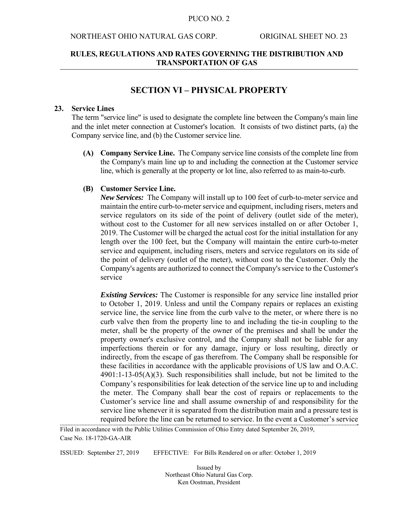#### NORTHEAST OHIO NATURAL GAS CORP. ORIGINAL SHEET NO. 23

### **RULES, REGULATIONS AND RATES GOVERNING THE DISTRIBUTION AND TRANSPORTATION OF GAS**

### **SECTION VI – PHYSICAL PROPERTY**

#### **23. Service Lines**

The term "service line" is used to designate the complete line between the Company's main line and the inlet meter connection at Customer's location. It consists of two distinct parts, (a) the Company service line, and (b) the Customer service line.

**(A) Company Service Line.** The Company service line consists of the complete line from the Company's main line up to and including the connection at the Customer service line, which is generally at the property or lot line, also referred to as main-to-curb.

#### **(B) Customer Service Line.**

 *New Services:*The Company will install up to 100 feet of curb-to-meter service and maintain the entire curb-to-meter service and equipment, including risers, meters and service regulators on its side of the point of delivery (outlet side of the meter), without cost to the Customer for all new services installed on or after October 1, 2019. The Customer will be charged the actual cost for the initial installation for any length over the 100 feet, but the Company will maintain the entire curb-to-meter service and equipment, including risers, meters and service regulators on its side of the point of delivery (outlet of the meter), without cost to the Customer. Only the Company's agents are authorized to connect the Company's service to the Customer's service

*Existing Services:* The Customer is responsible for any service line installed prior to October 1, 2019. Unless and until the Company repairs or replaces an existing service line, the service line from the curb valve to the meter, or where there is no curb valve then from the property line to and including the tie-in coupling to the meter, shall be the property of the owner of the premises and shall be under the property owner's exclusive control, and the Company shall not be liable for any imperfections therein or for any damage, injury or loss resulting, directly or indirectly, from the escape of gas therefrom. The Company shall be responsible for these facilities in accordance with the applicable provisions of US law and O.A.C.  $4901:1-13-05(A)(3)$ . Such responsibilities shall include, but not be limited to the Company's responsibilities for leak detection of the service line up to and including the meter. The Company shall bear the cost of repairs or replacements to the Customer's service line and shall assume ownership of and responsibility for the service line whenever it is separated from the distribution main and a pressure test is required before the line can be returned to service. In the event a Customer's service

Filed in accordance with the Public Utilities Commission of Ohio Entry dated September 26, 2019, Case No. 18-1720-GA-AIR

ISSUED: September 27, 2019 EFFECTIVE: For Bills Rendered on or after: October 1, 2019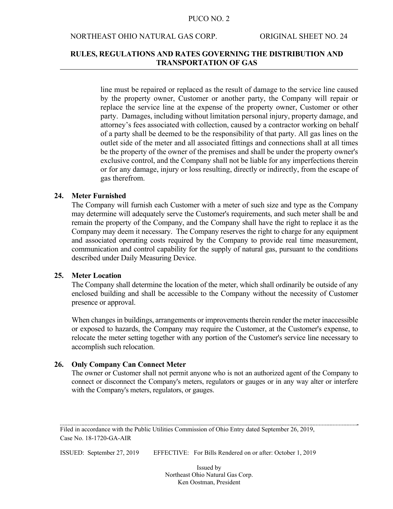#### NORTHEAST OHIO NATURAL GAS CORP. ORIGINAL SHEET NO. 24

### **RULES, REGULATIONS AND RATES GOVERNING THE DISTRIBUTION AND TRANSPORTATION OF GAS**

line must be repaired or replaced as the result of damage to the service line caused by the property owner, Customer or another party, the Company will repair or replace the service line at the expense of the property owner, Customer or other party. Damages, including without limitation personal injury, property damage, and attorney's fees associated with collection, caused by a contractor working on behalf of a party shall be deemed to be the responsibility of that party. All gas lines on the outlet side of the meter and all associated fittings and connections shall at all times be the property of the owner of the premises and shall be under the property owner's exclusive control, and the Company shall not be liable for any imperfections therein or for any damage, injury or loss resulting, directly or indirectly, from the escape of gas therefrom.

#### **24. Meter Furnished**

 The Company will furnish each Customer with a meter of such size and type as the Company may determine will adequately serve the Customer's requirements, and such meter shall be and remain the property of the Company, and the Company shall have the right to replace it as the Company may deem it necessary. The Company reserves the right to charge for any equipment and associated operating costs required by the Company to provide real time measurement, communication and control capability for the supply of natural gas, pursuant to the conditions described under Daily Measuring Device.

### **25. Meter Location**

The Company shall determine the location of the meter, which shall ordinarily be outside of any enclosed building and shall be accessible to the Company without the necessity of Customer presence or approval.

 When changes in buildings, arrangements or improvements therein render the meter inaccessible or exposed to hazards, the Company may require the Customer, at the Customer's expense, to relocate the meter setting together with any portion of the Customer's service line necessary to accomplish such relocation.

#### **26. Only Company Can Connect Meter**

 The owner or Customer shall not permit anyone who is not an authorized agent of the Company to connect or disconnect the Company's meters, regulators or gauges or in any way alter or interfere with the Company's meters, regulators, or gauges.

Filed in accordance with the Public Utilities Commission of Ohio Entry dated September 26, 2019, Case No. 18-1720-GA-AIR

ISSUED: September 27, 2019 EFFECTIVE: For Bills Rendered on or after: October 1, 2019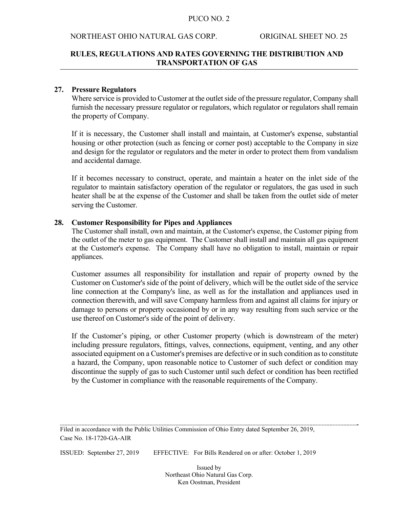#### NORTHEAST OHIO NATURAL GAS CORP. ORIGINAL SHEET NO. 25

### **RULES, REGULATIONS AND RATES GOVERNING THE DISTRIBUTION AND TRANSPORTATION OF GAS**

#### **27. Pressure Regulators**

Where service is provided to Customer at the outlet side of the pressure regulator, Company shall furnish the necessary pressure regulator or regulators, which regulator or regulators shall remain the property of Company.

 If it is necessary, the Customer shall install and maintain, at Customer's expense, substantial housing or other protection (such as fencing or corner post) acceptable to the Company in size and design for the regulator or regulators and the meter in order to protect them from vandalism and accidental damage.

 If it becomes necessary to construct, operate, and maintain a heater on the inlet side of the regulator to maintain satisfactory operation of the regulator or regulators, the gas used in such heater shall be at the expense of the Customer and shall be taken from the outlet side of meter serving the Customer.

#### **28. Customer Responsibility for Pipes and Appliances**

The Customer shall install, own and maintain, at the Customer's expense, the Customer piping from the outlet of the meter to gas equipment. The Customer shall install and maintain all gas equipment at the Customer's expense. The Company shall have no obligation to install, maintain or repair appliances.

 Customer assumes all responsibility for installation and repair of property owned by the Customer on Customer's side of the point of delivery, which will be the outlet side of the service line connection at the Company's line, as well as for the installation and appliances used in connection therewith, and will save Company harmless from and against all claims for injury or damage to persons or property occasioned by or in any way resulting from such service or the use thereof on Customer's side of the point of delivery.

If the Customer's piping, or other Customer property (which is downstream of the meter) including pressure regulators, fittings, valves, connections, equipment, venting, and any other associated equipment on a Customer's premises are defective or in such condition as to constitute a hazard, the Company, upon reasonable notice to Customer of such defect or condition may discontinue the supply of gas to such Customer until such defect or condition has been rectified by the Customer in compliance with the reasonable requirements of the Company.

Filed in accordance with the Public Utilities Commission of Ohio Entry dated September 26, 2019, Case No. 18-1720-GA-AIR

ISSUED: September 27, 2019 EFFECTIVE: For Bills Rendered on or after: October 1, 2019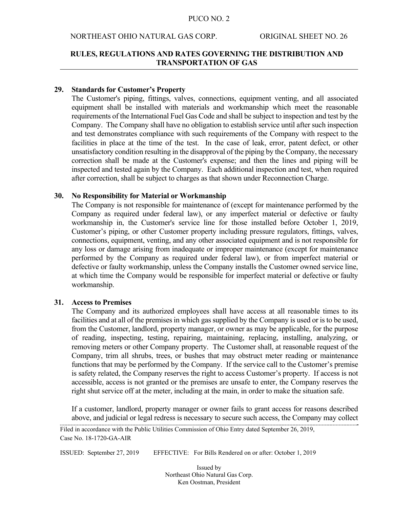#### NORTHEAST OHIO NATURAL GAS CORP. ORIGINAL SHEET NO. 26

### **RULES, REGULATIONS AND RATES GOVERNING THE DISTRIBUTION AND TRANSPORTATION OF GAS**

#### **29. Standards for Customer's Property**

The Customer's piping, fittings, valves, connections, equipment venting, and all associated equipment shall be installed with materials and workmanship which meet the reasonable requirements of the International Fuel Gas Code and shall be subject to inspection and test by the Company. The Company shall have no obligation to establish service until after such inspection and test demonstrates compliance with such requirements of the Company with respect to the facilities in place at the time of the test. In the case of leak, error, patent defect, or other unsatisfactory condition resulting in the disapproval of the piping by the Company, the necessary correction shall be made at the Customer's expense; and then the lines and piping will be inspected and tested again by the Company. Each additional inspection and test, when required after correction, shall be subject to charges as that shown under Reconnection Charge.

#### **30. No Responsibility for Material or Workmanship**

 The Company is not responsible for maintenance of (except for maintenance performed by the Company as required under federal law), or any imperfect material or defective or faulty workmanship in, the Customer's service line for those installed before October 1, 2019, Customer's piping, or other Customer property including pressure regulators, fittings, valves, connections, equipment, venting, and any other associated equipment and is not responsible for any loss or damage arising from inadequate or improper maintenance (except for maintenance performed by the Company as required under federal law), or from imperfect material or defective or faulty workmanship, unless the Company installs the Customer owned service line, at which time the Company would be responsible for imperfect material or defective or faulty workmanship.

### **31. Access to Premises**

 The Company and its authorized employees shall have access at all reasonable times to its facilities and at all of the premises in which gas supplied by the Company is used or is to be used, from the Customer, landlord, property manager, or owner as may be applicable, for the purpose of reading, inspecting, testing, repairing, maintaining, replacing, installing, analyzing, or removing meters or other Company property. The Customer shall, at reasonable request of the Company, trim all shrubs, trees, or bushes that may obstruct meter reading or maintenance functions that may be performed by the Company. If the service call to the Customer's premise is safety related, the Company reserves the right to access Customer's property. If access is not accessible, access is not granted or the premises are unsafe to enter, the Company reserves the right shut service off at the meter, including at the main, in order to make the situation safe.

 If a customer, landlord, property manager or owner fails to grant access for reasons described above, and judicial or legal redress is necessary to secure such access, the Company may collect

ISSUED: September 27, 2019 EFFECTIVE: For Bills Rendered on or after: October 1, 2019

Filed in accordance with the Public Utilities Commission of Ohio Entry dated September 26, 2019, Case No. 18-1720-GA-AIR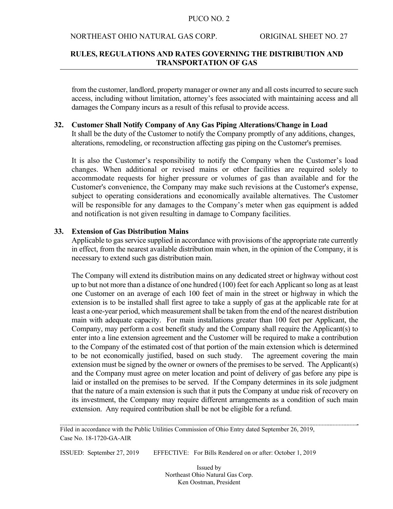#### NORTHEAST OHIO NATURAL GAS CORP. ORIGINAL SHEET NO. 27

### **RULES, REGULATIONS AND RATES GOVERNING THE DISTRIBUTION AND TRANSPORTATION OF GAS**

from the customer, landlord, property manager or owner any and all costs incurred to secure such access, including without limitation, attorney's fees associated with maintaining access and all damages the Company incurs as a result of this refusal to provide access.

#### **32. Customer Shall Notify Company of Any Gas Piping Alterations/Change in Load**

 It shall be the duty of the Customer to notify the Company promptly of any additions, changes, alterations, remodeling, or reconstruction affecting gas piping on the Customer's premises.

It is also the Customer's responsibility to notify the Company when the Customer's load changes. When additional or revised mains or other facilities are required solely to accommodate requests for higher pressure or volumes of gas than available and for the Customer's convenience, the Company may make such revisions at the Customer's expense, subject to operating considerations and economically available alternatives. The Customer will be responsible for any damages to the Company's meter when gas equipment is added and notification is not given resulting in damage to Company facilities.

#### **33. Extension of Gas Distribution Mains**

 Applicable to gas service supplied in accordance with provisions of the appropriate rate currently in effect, from the nearest available distribution main when, in the opinion of the Company, it is necessary to extend such gas distribution main.

 The Company will extend its distribution mains on any dedicated street or highway without cost up to but not more than a distance of one hundred (100) feet for each Applicant so long as at least one Customer on an average of each 100 feet of main in the street or highway in which the extension is to be installed shall first agree to take a supply of gas at the applicable rate for at least a one-year period, which measurement shall be taken from the end of the nearest distribution main with adequate capacity. For main installations greater than 100 feet per Applicant, the Company, may perform a cost benefit study and the Company shall require the Applicant(s) to enter into a line extension agreement and the Customer will be required to make a contribution to the Company of the estimated cost of that portion of the main extension which is determined to be not economically justified, based on such study. The agreement covering the main extension must be signed by the owner or owners of the premises to be served. The Applicant(s) and the Company must agree on meter location and point of delivery of gas before any pipe is laid or installed on the premises to be served. If the Company determines in its sole judgment that the nature of a main extension is such that it puts the Company at undue risk of recovery on its investment, the Company may require different arrangements as a condition of such main extension. Any required contribution shall be not be eligible for a refund.

Filed in accordance with the Public Utilities Commission of Ohio Entry dated September 26, 2019, Case No. 18-1720-GA-AIR

ISSUED: September 27, 2019 EFFECTIVE: For Bills Rendered on or after: October 1, 2019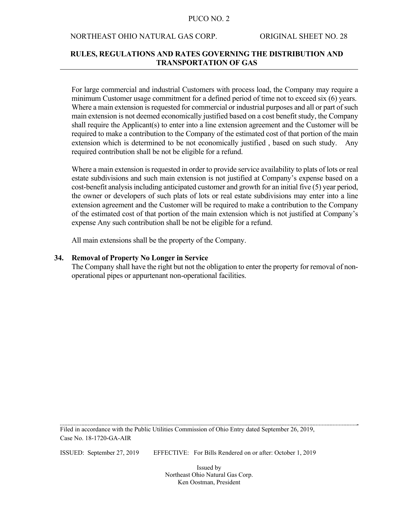#### NORTHEAST OHIO NATURAL GAS CORP. ORIGINAL SHEET NO. 28

### **RULES, REGULATIONS AND RATES GOVERNING THE DISTRIBUTION AND TRANSPORTATION OF GAS**

 For large commercial and industrial Customers with process load, the Company may require a minimum Customer usage commitment for a defined period of time not to exceed six (6) years. Where a main extension is requested for commercial or industrial purposes and all or part of such main extension is not deemed economically justified based on a cost benefit study, the Company shall require the Applicant(s) to enter into a line extension agreement and the Customer will be required to make a contribution to the Company of the estimated cost of that portion of the main extension which is determined to be not economically justified , based on such study. Any required contribution shall be not be eligible for a refund.

 Where a main extension is requested in order to provide service availability to plats of lots or real estate subdivisions and such main extension is not justified at Company's expense based on a cost-benefit analysis including anticipated customer and growth for an initial five (5) year period, the owner or developers of such plats of lots or real estate subdivisions may enter into a line extension agreement and the Customer will be required to make a contribution to the Company of the estimated cost of that portion of the main extension which is not justified at Company's expense Any such contribution shall be not be eligible for a refund.

All main extensions shall be the property of the Company.

#### **34. Removal of Property No Longer in Service**

The Company shall have the right but not the obligation to enter the property for removal of nonoperational pipes or appurtenant non-operational facilities.

Filed in accordance with the Public Utilities Commission of Ohio Entry dated September 26, 2019, Case No. 18-1720-GA-AIR

ISSUED: September 27, 2019 EFFECTIVE: For Bills Rendered on or after: October 1, 2019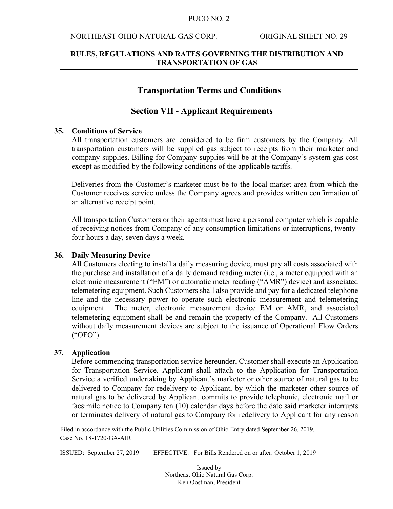#### NORTHEAST OHIO NATURAL GAS CORP. ORIGINAL SHEET NO. 29

### **RULES, REGULATIONS AND RATES GOVERNING THE DISTRIBUTION AND TRANSPORTATION OF GAS**

### **Transportation Terms and Conditions**

### **Section VII - Applicant Requirements**

#### **35. Conditions of Service**

All transportation customers are considered to be firm customers by the Company. All transportation customers will be supplied gas subject to receipts from their marketer and company supplies. Billing for Company supplies will be at the Company's system gas cost except as modified by the following conditions of the applicable tariffs.

Deliveries from the Customer's marketer must be to the local market area from which the Customer receives service unless the Company agrees and provides written confirmation of an alternative receipt point.

All transportation Customers or their agents must have a personal computer which is capable of receiving notices from Company of any consumption limitations or interruptions, twentyfour hours a day, seven days a week.

#### **36. Daily Measuring Device**

All Customers electing to install a daily measuring device, must pay all costs associated with the purchase and installation of a daily demand reading meter (i.e., a meter equipped with an electronic measurement ("EM") or automatic meter reading ("AMR") device) and associated telemetering equipment. Such Customers shall also provide and pay for a dedicated telephone line and the necessary power to operate such electronic measurement and telemetering equipment. The meter, electronic measurement device EM or AMR, and associated telemetering equipment shall be and remain the property of the Company. All Customers without daily measurement devices are subject to the issuance of Operational Flow Orders ("OFO").

### **37. Application**

 Before commencing transportation service hereunder, Customer shall execute an Application for Transportation Service. Applicant shall attach to the Application for Transportation Service a verified undertaking by Applicant's marketer or other source of natural gas to be delivered to Company for redelivery to Applicant, by which the marketer other source of natural gas to be delivered by Applicant commits to provide telephonic, electronic mail or facsimile notice to Company ten (10) calendar days before the date said marketer interrupts or terminates delivery of natural gas to Company for redelivery to Applicant for any reason

Filed in accordance with the Public Utilities Commission of Ohio Entry dated September 26, 2019, Case No. 18-1720-GA-AIR

ISSUED: September 27, 2019 EFFECTIVE: For Bills Rendered on or after: October 1, 2019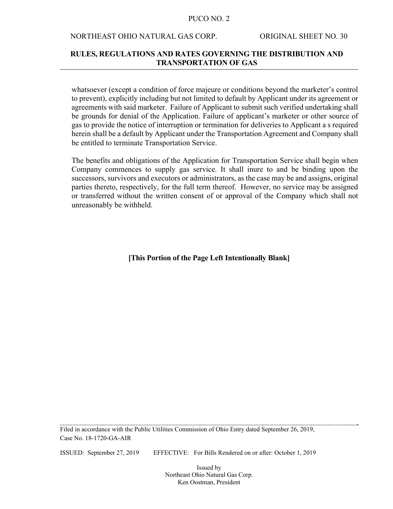#### NORTHEAST OHIO NATURAL GAS CORP. ORIGINAL SHEET NO. 30

### **RULES, REGULATIONS AND RATES GOVERNING THE DISTRIBUTION AND TRANSPORTATION OF GAS**

whatsoever (except a condition of force majeure or conditions beyond the marketer's control to prevent), explicitly including but not limited to default by Applicant under its agreement or agreements with said marketer. Failure of Applicant to submit such verified undertaking shall be grounds for denial of the Application. Failure of applicant's marketer or other source of gas to provide the notice of interruption or termination for deliveries to Applicant a s required herein shall be a default by Applicant under the Transportation Agreement and Company shall be entitled to terminate Transportation Service.

 The benefits and obligations of the Application for Transportation Service shall begin when Company commences to supply gas service. It shall inure to and be binding upon the successors, survivors and executors or administrators, as the case may be and assigns, original parties thereto, respectively, for the full term thereof. However, no service may be assigned or transferred without the written consent of or approval of the Company which shall not unreasonably be withheld.

### **[This Portion of the Page Left Intentionally Blank]**

Filed in accordance with the Public Utilities Commission of Ohio Entry dated September 26, 2019, Case No. 18-1720-GA-AIR

ISSUED: September 27, 2019 EFFECTIVE: For Bills Rendered on or after: October 1, 2019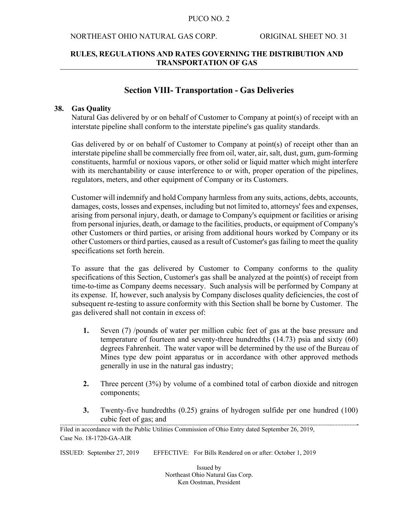#### NORTHEAST OHIO NATURAL GAS CORP. ORIGINAL SHEET NO. 31

### **RULES, REGULATIONS AND RATES GOVERNING THE DISTRIBUTION AND TRANSPORTATION OF GAS**

### **Section VIII- Transportation - Gas Deliveries**

#### **38. Gas Quality**

Natural Gas delivered by or on behalf of Customer to Company at point(s) of receipt with an interstate pipeline shall conform to the interstate pipeline's gas quality standards.

 Gas delivered by or on behalf of Customer to Company at point(s) of receipt other than an interstate pipeline shall be commercially free from oil, water, air, salt, dust, gum, gum-forming constituents, harmful or noxious vapors, or other solid or liquid matter which might interfere with its merchantability or cause interference to or with, proper operation of the pipelines, regulators, meters, and other equipment of Company or its Customers.

 Customer will indemnify and hold Company harmless from any suits, actions, debts, accounts, damages, costs, losses and expenses, including but not limited to, attorneys' fees and expenses, arising from personal injury, death, or damage to Company's equipment or facilities or arising from personal injuries, death, or damage to the facilities, products, or equipment of Company's other Customers or third parties, or arising from additional hours worked by Company or its other Customers or third parties, caused as a result of Customer's gas failing to meet the quality specifications set forth herein.

 To assure that the gas delivered by Customer to Company conforms to the quality specifications of this Section, Customer's gas shall be analyzed at the point(s) of receipt from time-to-time as Company deems necessary. Such analysis will be performed by Company at its expense. If, however, such analysis by Company discloses quality deficiencies, the cost of subsequent re-testing to assure conformity with this Section shall be borne by Customer. The gas delivered shall not contain in excess of:

- **1.** Seven (7) /pounds of water per million cubic feet of gas at the base pressure and temperature of fourteen and seventy-three hundredths (14.73) psia and sixty (60) degrees Fahrenheit. The water vapor will be determined by the use of the Bureau of Mines type dew point apparatus or in accordance with other approved methods generally in use in the natural gas industry;
- **2.** Three percent (3%) by volume of a combined total of carbon dioxide and nitrogen components;
- **3.** Twenty-five hundredths (0.25) grains of hydrogen sulfide per one hundred (100) cubic feet of gas; and

ISSUED: September 27, 2019 EFFECTIVE: For Bills Rendered on or after: October 1, 2019

Filed in accordance with the Public Utilities Commission of Ohio Entry dated September 26, 2019, Case No. 18-1720-GA-AIR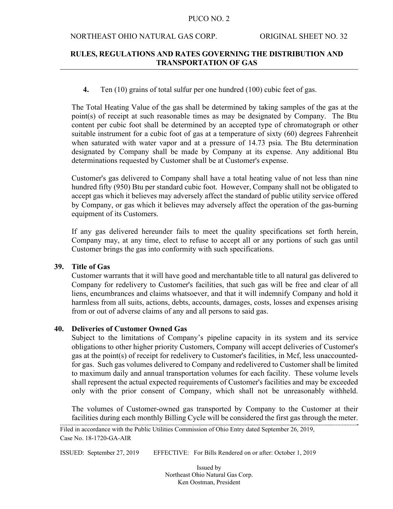#### NORTHEAST OHIO NATURAL GAS CORP. ORIGINAL SHEET NO. 32

### **RULES, REGULATIONS AND RATES GOVERNING THE DISTRIBUTION AND TRANSPORTATION OF GAS**

**4.** Ten (10) grains of total sulfur per one hundred (100) cubic feet of gas.

 The Total Heating Value of the gas shall be determined by taking samples of the gas at the point(s) of receipt at such reasonable times as may be designated by Company. The Btu content per cubic foot shall be determined by an accepted type of chromatograph or other suitable instrument for a cubic foot of gas at a temperature of sixty (60) degrees Fahrenheit when saturated with water vapor and at a pressure of 14.73 psia. The Btu determination designated by Company shall be made by Company at its expense. Any additional Btu determinations requested by Customer shall be at Customer's expense.

 Customer's gas delivered to Company shall have a total heating value of not less than nine hundred fifty (950) Btu per standard cubic foot. However, Company shall not be obligated to accept gas which it believes may adversely affect the standard of public utility service offered by Company, or gas which it believes may adversely affect the operation of the gas-burning equipment of its Customers.

If any gas delivered hereunder fails to meet the quality specifications set forth herein, Company may, at any time, elect to refuse to accept all or any portions of such gas until Customer brings the gas into conformity with such specifications.

#### **39. Title of Gas**

Customer warrants that it will have good and merchantable title to all natural gas delivered to Company for redelivery to Customer's facilities, that such gas will be free and clear of all liens, encumbrances and claims whatsoever, and that it will indemnify Company and hold it harmless from all suits, actions, debts, accounts, damages, costs, losses and expenses arising from or out of adverse claims of any and all persons to said gas.

### **40. Deliveries of Customer Owned Gas**

Subject to the limitations of Company's pipeline capacity in its system and its service obligations to other higher priority Customers, Company will accept deliveries of Customer's gas at the point(s) of receipt for redelivery to Customer's facilities, in Mcf, less unaccountedfor gas. Such gas volumes delivered to Company and redelivered to Customer shall be limited to maximum daily and annual transportation volumes for each facility. These volume levels shall represent the actual expected requirements of Customer's facilities and may be exceeded only with the prior consent of Company, which shall not be unreasonably withheld.

The volumes of Customer-owned gas transported by Company to the Customer at their facilities during each monthly Billing Cycle will be considered the first gas through the meter.

ISSUED: September 27, 2019 EFFECTIVE: For Bills Rendered on or after: October 1, 2019

Filed in accordance with the Public Utilities Commission of Ohio Entry dated September 26, 2019, Case No. 18-1720-GA-AIR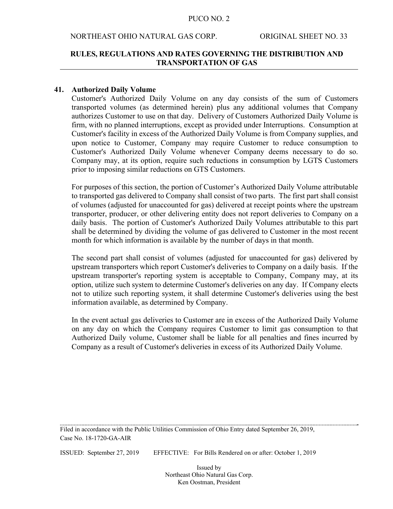#### NORTHEAST OHIO NATURAL GAS CORP. ORIGINAL SHEET NO. 33

### **RULES, REGULATIONS AND RATES GOVERNING THE DISTRIBUTION AND TRANSPORTATION OF GAS**

#### **41. Authorized Daily Volume**

 Customer's Authorized Daily Volume on any day consists of the sum of Customers transported volumes (as determined herein) plus any additional volumes that Company authorizes Customer to use on that day. Delivery of Customers Authorized Daily Volume is firm, with no planned interruptions, except as provided under Interruptions. Consumption at Customer's facility in excess of the Authorized Daily Volume is from Company supplies, and upon notice to Customer, Company may require Customer to reduce consumption to Customer's Authorized Daily Volume whenever Company deems necessary to do so. Company may, at its option, require such reductions in consumption by LGTS Customers prior to imposing similar reductions on GTS Customers.

 For purposes of this section, the portion of Customer's Authorized Daily Volume attributable to transported gas delivered to Company shall consist of two parts. The first part shall consist of volumes (adjusted for unaccounted for gas) delivered at receipt points where the upstream transporter, producer, or other delivering entity does not report deliveries to Company on a daily basis. The portion of Customer's Authorized Daily Volumes attributable to this part shall be determined by dividing the volume of gas delivered to Customer in the most recent month for which information is available by the number of days in that month.

 The second part shall consist of volumes (adjusted for unaccounted for gas) delivered by upstream transporters which report Customer's deliveries to Company on a daily basis. If the upstream transporter's reporting system is acceptable to Company, Company may, at its option, utilize such system to determine Customer's deliveries on any day. If Company elects not to utilize such reporting system, it shall determine Customer's deliveries using the best information available, as determined by Company.

 In the event actual gas deliveries to Customer are in excess of the Authorized Daily Volume on any day on which the Company requires Customer to limit gas consumption to that Authorized Daily volume, Customer shall be liable for all penalties and fines incurred by Company as a result of Customer's deliveries in excess of its Authorized Daily Volume.

Filed in accordance with the Public Utilities Commission of Ohio Entry dated September 26, 2019, Case No. 18-1720-GA-AIR

ISSUED: September 27, 2019 EFFECTIVE: For Bills Rendered on or after: October 1, 2019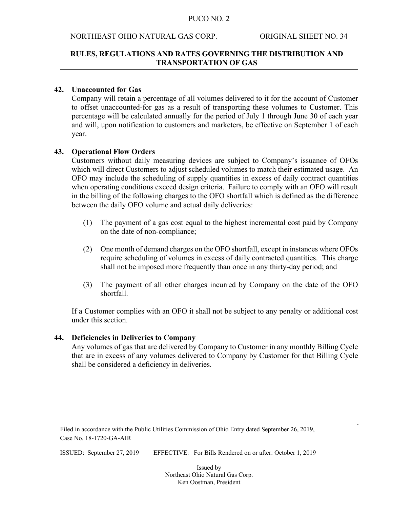### NORTHEAST OHIO NATURAL GAS CORP. ORIGINAL SHEET NO. 34

### **RULES, REGULATIONS AND RATES GOVERNING THE DISTRIBUTION AND TRANSPORTATION OF GAS**

### **42. Unaccounted for Gas**

Company will retain a percentage of all volumes delivered to it for the account of Customer to offset unaccounted-for gas as a result of transporting these volumes to Customer. This percentage will be calculated annually for the period of July 1 through June 30 of each year and will, upon notification to customers and marketers, be effective on September 1 of each year.

### **43. Operational Flow Orders**

 Customers without daily measuring devices are subject to Company's issuance of OFOs which will direct Customers to adjust scheduled volumes to match their estimated usage. An OFO may include the scheduling of supply quantities in excess of daily contract quantities when operating conditions exceed design criteria. Failure to comply with an OFO will result in the billing of the following charges to the OFO shortfall which is defined as the difference between the daily OFO volume and actual daily deliveries:

- (1) The payment of a gas cost equal to the highest incremental cost paid by Company on the date of non-compliance;
- (2) One month of demand charges on the OFO shortfall, except in instances where OFOs require scheduling of volumes in excess of daily contracted quantities. This charge shall not be imposed more frequently than once in any thirty-day period; and
- (3) The payment of all other charges incurred by Company on the date of the OFO shortfall.

 If a Customer complies with an OFO it shall not be subject to any penalty or additional cost under this section.

#### **44. Deficiencies in Deliveries to Company**

 Any volumes of gas that are delivered by Company to Customer in any monthly Billing Cycle that are in excess of any volumes delivered to Company by Customer for that Billing Cycle shall be considered a deficiency in deliveries.

Filed in accordance with the Public Utilities Commission of Ohio Entry dated September 26, 2019, Case No. 18-1720-GA-AIR

ISSUED: September 27, 2019 EFFECTIVE: For Bills Rendered on or after: October 1, 2019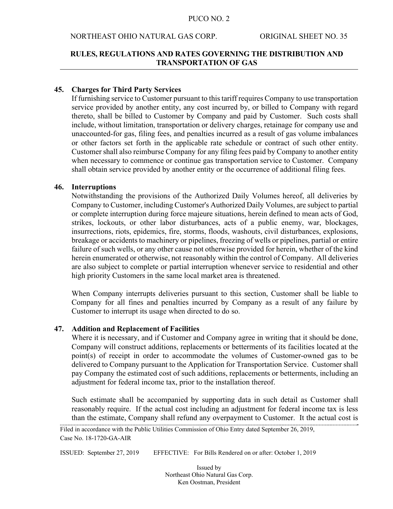#### NORTHEAST OHIO NATURAL GAS CORP. ORIGINAL SHEET NO. 35

### **RULES, REGULATIONS AND RATES GOVERNING THE DISTRIBUTION AND TRANSPORTATION OF GAS**

#### **45. Charges for Third Party Services**

 If furnishing service to Customer pursuant to this tariff requires Company to use transportation service provided by another entity, any cost incurred by, or billed to Company with regard thereto, shall be billed to Customer by Company and paid by Customer. Such costs shall include, without limitation, transportation or delivery charges, retainage for company use and unaccounted-for gas, filing fees, and penalties incurred as a result of gas volume imbalances or other factors set forth in the applicable rate schedule or contract of such other entity. Customer shall also reimburse Company for any filing fees paid by Company to another entity when necessary to commence or continue gas transportation service to Customer. Company shall obtain service provided by another entity or the occurrence of additional filing fees.

#### **46. Interruptions**

 Notwithstanding the provisions of the Authorized Daily Volumes hereof, all deliveries by Company to Customer, including Customer's Authorized Daily Volumes, are subject to partial or complete interruption during force majeure situations, herein defined to mean acts of God, strikes, lockouts, or other labor disturbances, acts of a public enemy, war, blockages, insurrections, riots, epidemics, fire, storms, floods, washouts, civil disturbances, explosions, breakage or accidents to machinery or pipelines, freezing of wells or pipelines, partial or entire failure of such wells, or any other cause not otherwise provided for herein, whether of the kind herein enumerated or otherwise, not reasonably within the control of Company. All deliveries are also subject to complete or partial interruption whenever service to residential and other high priority Customers in the same local market area is threatened.

 When Company interrupts deliveries pursuant to this section, Customer shall be liable to Company for all fines and penalties incurred by Company as a result of any failure by Customer to interrupt its usage when directed to do so.

### **47. Addition and Replacement of Facilities**

Where it is necessary, and if Customer and Company agree in writing that it should be done, Company will construct additions, replacements or betterments of its facilities located at the point(s) of receipt in order to accommodate the volumes of Customer-owned gas to be delivered to Company pursuant to the Application for Transportation Service. Customer shall pay Company the estimated cost of such additions, replacements or betterments, including an adjustment for federal income tax, prior to the installation thereof.

 Such estimate shall be accompanied by supporting data in such detail as Customer shall reasonably require. If the actual cost including an adjustment for federal income tax is less than the estimate, Company shall refund any overpayment to Customer. It the actual cost is

ISSUED: September 27, 2019 EFFECTIVE: For Bills Rendered on or after: October 1, 2019

Filed in accordance with the Public Utilities Commission of Ohio Entry dated September 26, 2019, Case No. 18-1720-GA-AIR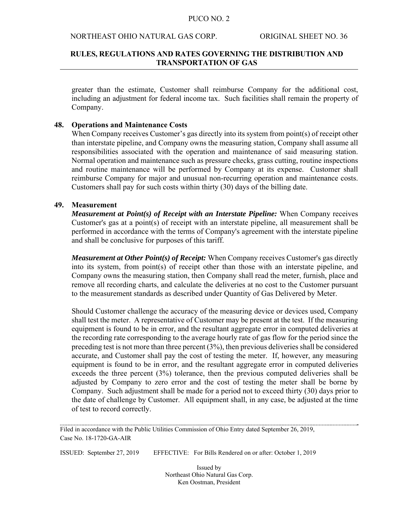#### NORTHEAST OHIO NATURAL GAS CORP. ORIGINAL SHEET NO. 36

### **RULES, REGULATIONS AND RATES GOVERNING THE DISTRIBUTION AND TRANSPORTATION OF GAS**

greater than the estimate, Customer shall reimburse Company for the additional cost, including an adjustment for federal income tax. Such facilities shall remain the property of Company.

#### **48. Operations and Maintenance Costs**

When Company receives Customer's gas directly into its system from point(s) of receipt other than interstate pipeline, and Company owns the measuring station, Company shall assume all responsibilities associated with the operation and maintenance of said measuring station. Normal operation and maintenance such as pressure checks, grass cutting, routine inspections and routine maintenance will be performed by Company at its expense. Customer shall reimburse Company for major and unusual non-recurring operation and maintenance costs. Customers shall pay for such costs within thirty (30) days of the billing date.

### **49. Measurement**

*Measurement at Point(s) of Receipt with an Interstate Pipeline:* When Company receives Customer's gas at a point(s) of receipt with an interstate pipeline, all measurement shall be performed in accordance with the terms of Company's agreement with the interstate pipeline and shall be conclusive for purposes of this tariff.

*Measurement at Other Point(s) of Receipt:* When Company receives Customer's gas directly into its system, from point(s) of receipt other than those with an interstate pipeline, and Company owns the measuring station, then Company shall read the meter, furnish, place and remove all recording charts, and calculate the deliveries at no cost to the Customer pursuant to the measurement standards as described under Quantity of Gas Delivered by Meter.

 Should Customer challenge the accuracy of the measuring device or devices used, Company shall test the meter. A representative of Customer may be present at the test. If the measuring equipment is found to be in error, and the resultant aggregate error in computed deliveries at the recording rate corresponding to the average hourly rate of gas flow for the period since the preceding test is not more than three percent (3%), then previous deliveries shall be considered accurate, and Customer shall pay the cost of testing the meter. If, however, any measuring equipment is found to be in error, and the resultant aggregate error in computed deliveries exceeds the three percent (3%) tolerance, then the previous computed deliveries shall be adjusted by Company to zero error and the cost of testing the meter shall be borne by Company. Such adjustment shall be made for a period not to exceed thirty (30) days prior to the date of challenge by Customer. All equipment shall, in any case, be adjusted at the time of test to record correctly.

Filed in accordance with the Public Utilities Commission of Ohio Entry dated September 26, 2019, Case No. 18-1720-GA-AIR

ISSUED: September 27, 2019 EFFECTIVE: For Bills Rendered on or after: October 1, 2019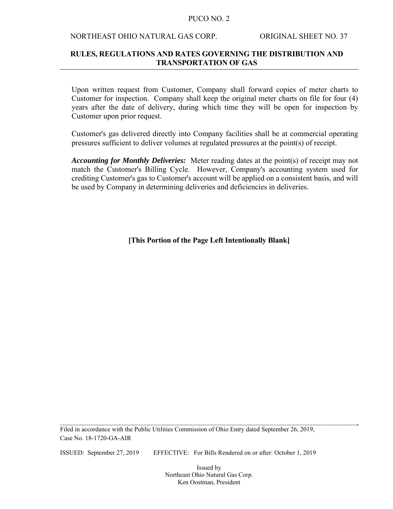#### NORTHEAST OHIO NATURAL GAS CORP. ORIGINAL SHEET NO. 37

### **RULES, REGULATIONS AND RATES GOVERNING THE DISTRIBUTION AND TRANSPORTATION OF GAS**

 Upon written request from Customer, Company shall forward copies of meter charts to Customer for inspection. Company shall keep the original meter charts on file for four (4) years after the date of delivery, during which time they will be open for inspection by Customer upon prior request.

 Customer's gas delivered directly into Company facilities shall be at commercial operating pressures sufficient to deliver volumes at regulated pressures at the point(s) of receipt.

*Accounting for Monthly Deliveries:* Meter reading dates at the point(s) of receipt may not match the Customer's Billing Cycle. However, Company's accounting system used for crediting Customer's gas to Customer's account will be applied on a consistent basis, and will be used by Company in determining deliveries and deficiencies in deliveries.

**[This Portion of the Page Left Intentionally Blank]** 

Filed in accordance with the Public Utilities Commission of Ohio Entry dated September 26, 2019, Case No. 18-1720-GA-AIR

ISSUED: September 27, 2019 EFFECTIVE: For Bills Rendered on or after: October 1, 2019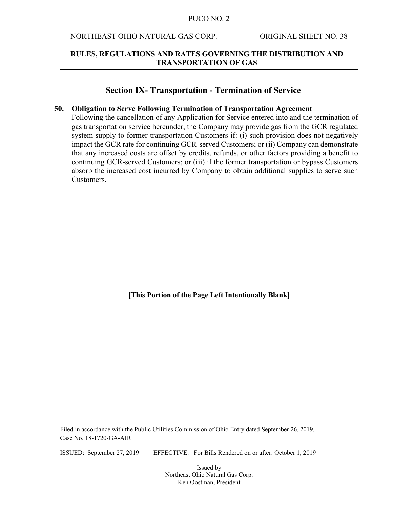### NORTHEAST OHIO NATURAL GAS CORP. ORIGINAL SHEET NO. 38

### **RULES, REGULATIONS AND RATES GOVERNING THE DISTRIBUTION AND TRANSPORTATION OF GAS**

### **Section IX- Transportation - Termination of Service**

#### **50. Obligation to Serve Following Termination of Transportation Agreement**

Following the cancellation of any Application for Service entered into and the termination of gas transportation service hereunder, the Company may provide gas from the GCR regulated system supply to former transportation Customers if: (i) such provision does not negatively impact the GCR rate for continuing GCR-served Customers; or (ii) Company can demonstrate that any increased costs are offset by credits, refunds, or other factors providing a benefit to continuing GCR-served Customers; or (iii) if the former transportation or bypass Customers absorb the increased cost incurred by Company to obtain additional supplies to serve such Customers.

**[This Portion of the Page Left Intentionally Blank]** 

Filed in accordance with the Public Utilities Commission of Ohio Entry dated September 26, 2019, Case No. 18-1720-GA-AIR

ISSUED: September 27, 2019 EFFECTIVE: For Bills Rendered on or after: October 1, 2019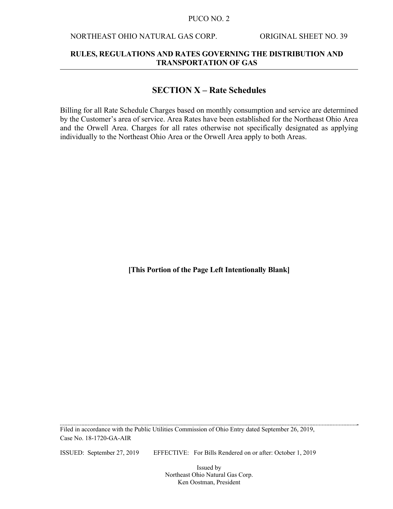### NORTHEAST OHIO NATURAL GAS CORP. ORIGINAL SHEET NO. 39

### **RULES, REGULATIONS AND RATES GOVERNING THE DISTRIBUTION AND TRANSPORTATION OF GAS**

## **SECTION X – Rate Schedules**

Billing for all Rate Schedule Charges based on monthly consumption and service are determined by the Customer's area of service. Area Rates have been established for the Northeast Ohio Area and the Orwell Area. Charges for all rates otherwise not specifically designated as applying individually to the Northeast Ohio Area or the Orwell Area apply to both Areas.

**[This Portion of the Page Left Intentionally Blank]** 

Filed in accordance with the Public Utilities Commission of Ohio Entry dated September 26, 2019, Case No. 18-1720-GA-AIR

ISSUED: September 27, 2019 EFFECTIVE: For Bills Rendered on or after: October 1, 2019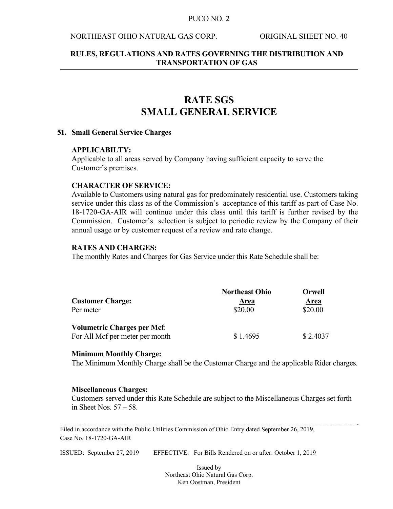### NORTHEAST OHIO NATURAL GAS CORP. ORIGINAL SHEET NO. 40

### **RULES, REGULATIONS AND RATES GOVERNING THE DISTRIBUTION AND TRANSPORTATION OF GAS**

# **RATE SGS SMALL GENERAL SERVICE**

#### **51. Small General Service Charges**

#### **APPLICABILTY:**

Applicable to all areas served by Company having sufficient capacity to serve the Customer's premises.

#### **CHARACTER OF SERVICE:**

Available to Customers using natural gas for predominately residential use. Customers taking service under this class as of the Commission's acceptance of this tariff as part of Case No. 18-1720-GA-AIR will continue under this class until this tariff is further revised by the Commission. Customer's selection is subject to periodic review by the Company of their annual usage or by customer request of a review and rate change.

#### **RATES AND CHARGES:**

The monthly Rates and Charges for Gas Service under this Rate Schedule shall be:

|                                    | <b>Northeast Ohio</b> | Orwell      |
|------------------------------------|-----------------------|-------------|
| <b>Customer Charge:</b>            | <u>Area</u>           | <u>Area</u> |
| Per meter                          | \$20.00               | \$20.00     |
| <b>Volumetric Charges per Mcf:</b> |                       |             |
| For All Mcf per meter per month    | \$1.4695              | \$2.4037    |

#### **Minimum Monthly Charge:**

The Minimum Monthly Charge shall be the Customer Charge and the applicable Rider charges.

#### **Miscellaneous Charges:**

Customers served under this Rate Schedule are subject to the Miscellaneous Charges set forth in Sheet Nos. 57 – 58.

Filed in accordance with the Public Utilities Commission of Ohio Entry dated September 26, 2019, Case No. 18-1720-GA-AIR

ISSUED: September 27, 2019 EFFECTIVE: For Bills Rendered on or after: October 1, 2019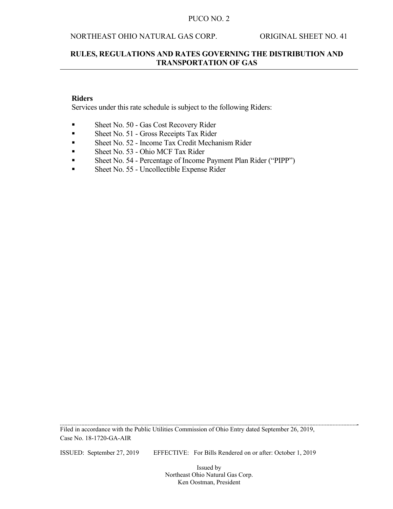### NORTHEAST OHIO NATURAL GAS CORP. ORIGINAL SHEET NO. 41

### **RULES, REGULATIONS AND RATES GOVERNING THE DISTRIBUTION AND TRANSPORTATION OF GAS**

### **Riders**

Services under this rate schedule is subject to the following Riders:

- Sheet No. 50 Gas Cost Recovery Rider
- Sheet No. 51 Gross Receipts Tax Rider
- Sheet No. 52 Income Tax Credit Mechanism Rider
- Sheet No. 53 Ohio MCF Tax Rider
- Sheet No. 54 Percentage of Income Payment Plan Rider ("PIPP")
- Sheet No. 55 Uncollectible Expense Rider

Filed in accordance with the Public Utilities Commission of Ohio Entry dated September 26, 2019, Case No. 18-1720-GA-AIR

ISSUED: September 27, 2019 EFFECTIVE: For Bills Rendered on or after: October 1, 2019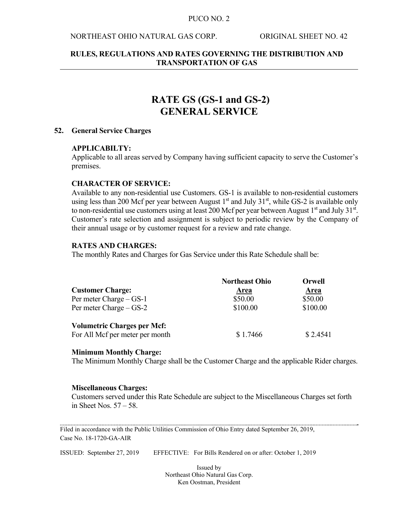### NORTHEAST OHIO NATURAL GAS CORP. ORIGINAL SHEET NO. 42

### **RULES, REGULATIONS AND RATES GOVERNING THE DISTRIBUTION AND TRANSPORTATION OF GAS**

# **RATE GS (GS-1 and GS-2) GENERAL SERVICE**

#### **52. General Service Charges**

#### **APPLICABILTY:**

Applicable to all areas served by Company having sufficient capacity to serve the Customer's premises.

#### **CHARACTER OF SERVICE:**

Available to any non-residential use Customers. GS-1 is available to non-residential customers using less than 200 Mcf per year between August  $1<sup>st</sup>$  and July 31 $<sup>st</sup>$ , while GS-2 is available only</sup> to non-residential use customers using at least 200 Mcf per year between August  $1<sup>st</sup>$  and July 31 $<sup>st</sup>$ .</sup> Customer's rate selection and assignment is subject to periodic review by the Company of their annual usage or by customer request for a review and rate change.

### **RATES AND CHARGES:**

The monthly Rates and Charges for Gas Service under this Rate Schedule shall be:

|                                    | <b>Northeast Ohio</b> | Orwell      |
|------------------------------------|-----------------------|-------------|
| <b>Customer Charge:</b>            | <b>Area</b>           | <b>Area</b> |
| Per meter Charge – GS-1            | \$50.00               | \$50.00     |
| Per meter Charge $-GS-2$           | \$100.00              | \$100.00    |
| <b>Volumetric Charges per Mcf:</b> |                       |             |
| For All Mcf per meter per month    | \$1.7466              | \$2.4541    |

#### **Minimum Monthly Charge:**

The Minimum Monthly Charge shall be the Customer Charge and the applicable Rider charges.

#### **Miscellaneous Charges:**

Customers served under this Rate Schedule are subject to the Miscellaneous Charges set forth in Sheet Nos. 57 – 58.

Filed in accordance with the Public Utilities Commission of Ohio Entry dated September 26, 2019, Case No. 18-1720-GA-AIR

ISSUED: September 27, 2019 EFFECTIVE: For Bills Rendered on or after: October 1, 2019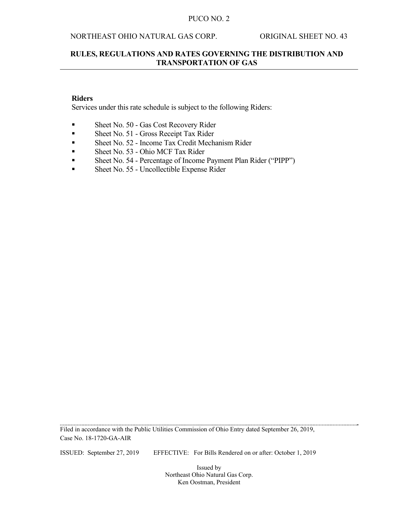### NORTHEAST OHIO NATURAL GAS CORP. ORIGINAL SHEET NO. 43

### **RULES, REGULATIONS AND RATES GOVERNING THE DISTRIBUTION AND TRANSPORTATION OF GAS**

### **Riders**

Services under this rate schedule is subject to the following Riders:

- Sheet No. 50 Gas Cost Recovery Rider
- Sheet No. 51 Gross Receipt Tax Rider
- Sheet No. 52 Income Tax Credit Mechanism Rider
- Sheet No. 53 Ohio MCF Tax Rider
- Sheet No. 54 Percentage of Income Payment Plan Rider ("PIPP")
- Sheet No. 55 Uncollectible Expense Rider

Filed in accordance with the Public Utilities Commission of Ohio Entry dated September 26, 2019, Case No. 18-1720-GA-AIR

ISSUED: September 27, 2019 EFFECTIVE: For Bills Rendered on or after: October 1, 2019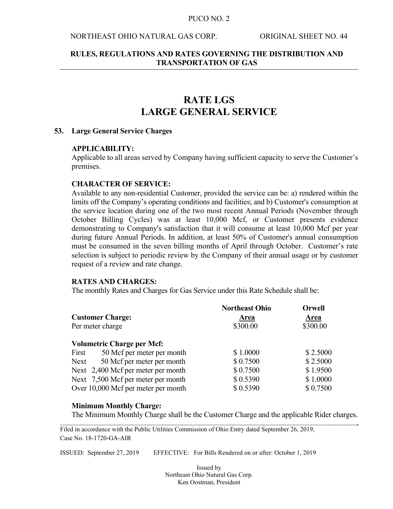### NORTHEAST OHIO NATURAL GAS CORP. ORIGINAL SHEET NO. 44

### **RULES, REGULATIONS AND RATES GOVERNING THE DISTRIBUTION AND TRANSPORTATION OF GAS**

# **RATE LGS LARGE GENERAL SERVICE**

#### **53. Large General Service Charges**

#### **APPLICABILITY:**

Applicable to all areas served by Company having sufficient capacity to serve the Customer's premises.

#### **CHARACTER OF SERVICE:**

Available to any non-residential Customer, provided the service can be: a) rendered within the limits off the Company's operating conditions and facilities; and b) Customer's consumption at the service location during one of the two most recent Annual Periods (November through October Billing Cycles) was at least 10,000 Mcf, or Customer presents evidence demonstrating to Company's satisfaction that it will consume at least 10,000 Mcf per year during future Annual Periods. In addition, at least 50% of Customer's annual consumption must be consumed in the seven billing months of April through October. Customer's rate selection is subject to periodic review by the Company of their annual usage or by customer request of a review and rate change.

#### **RATES AND CHARGES:**

The monthly Rates and Charges for Gas Service under this Rate Schedule shall be:

|       | <b>Customer Charge:</b>             | <b>Northeast Ohio</b><br>Area | <b>Orwell</b><br>Area |
|-------|-------------------------------------|-------------------------------|-----------------------|
|       | Per meter charge                    | \$300.00                      | \$300.00              |
|       | <b>Volumetric Charge per Mcf:</b>   |                               |                       |
| First | 50 Mcf per meter per month          | \$1.0000                      | \$2.5000              |
| Next  | 50 Mcf per meter per month          | \$0.7500                      | \$2.5000              |
|       | Next 2,400 Mcf per meter per month  | \$0.7500                      | \$1.9500              |
|       | Next 7,500 Mcf per meter per month  | \$0.5390                      | \$1.0000              |
|       | Over 10,000 Mcf per meter per month | \$0.5390                      | \$0.7500              |

#### **Minimum Monthly Charge:**

The Minimum Monthly Charge shall be the Customer Charge and the applicable Rider charges.

Filed in accordance with the Public Utilities Commission of Ohio Entry dated September 26, 2019, Case No. 18-1720-GA-AIR

ISSUED: September 27, 2019 EFFECTIVE: For Bills Rendered on or after: October 1, 2019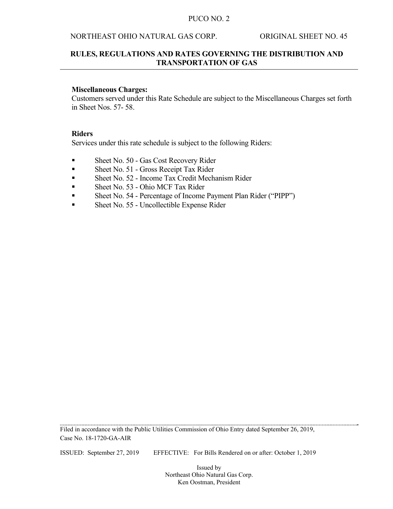### NORTHEAST OHIO NATURAL GAS CORP. ORIGINAL SHEET NO. 45

### **RULES, REGULATIONS AND RATES GOVERNING THE DISTRIBUTION AND TRANSPORTATION OF GAS**

#### **Miscellaneous Charges:**

Customers served under this Rate Schedule are subject to the Miscellaneous Charges set forth in Sheet Nos. 57- 58.

#### **Riders**

Services under this rate schedule is subject to the following Riders:

- Sheet No. 50 Gas Cost Recovery Rider
- Sheet No. 51 Gross Receipt Tax Rider
- Sheet No. 52 Income Tax Credit Mechanism Rider
- Sheet No. 53 Ohio MCF Tax Rider
- Sheet No. 54 Percentage of Income Payment Plan Rider ("PIPP")
- Sheet No. 55 Uncollectible Expense Rider

Filed in accordance with the Public Utilities Commission of Ohio Entry dated September 26, 2019, Case No. 18-1720-GA-AIR

ISSUED: September 27, 2019 EFFECTIVE: For Bills Rendered on or after: October 1, 2019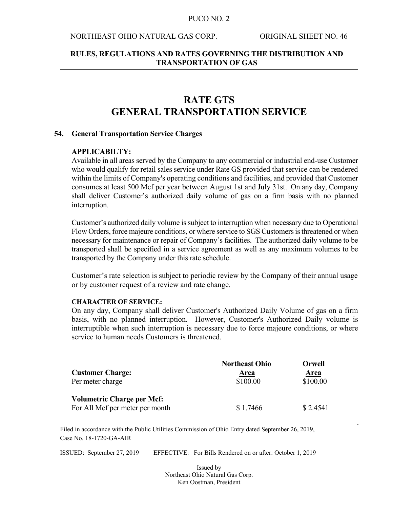#### NORTHEAST OHIO NATURAL GAS CORP. ORIGINAL SHEET NO. 46

### **RULES, REGULATIONS AND RATES GOVERNING THE DISTRIBUTION AND TRANSPORTATION OF GAS**

# **RATE GTS GENERAL TRANSPORTATION SERVICE**

#### **54. General Transportation Service Charges**

#### **APPLICABILTY:**

Available in all areas served by the Company to any commercial or industrial end-use Customer who would qualify for retail sales service under Rate GS provided that service can be rendered within the limits of Company's operating conditions and facilities, and provided that Customer consumes at least 500 Mcf per year between August 1st and July 31st. On any day, Company shall deliver Customer's authorized daily volume of gas on a firm basis with no planned interruption.

Customer's authorized daily volume is subject to interruption when necessary due to Operational Flow Orders, force majeure conditions, or where service to SGS Customers is threatened or when necessary for maintenance or repair of Company's facilities. The authorized daily volume to be transported shall be specified in a service agreement as well as any maximum volumes to be transported by the Company under this rate schedule.

Customer's rate selection is subject to periodic review by the Company of their annual usage or by customer request of a review and rate change.

#### **CHARACTER OF SERVICE:**

On any day, Company shall deliver Customer's Authorized Daily Volume of gas on a firm basis, with no planned interruption. However, Customer's Authorized Daily volume is interruptible when such interruption is necessary due to force majeure conditions, or where service to human needs Customers is threatened.

|                                   | <b>Northeast Ohio</b> | Orwell      |
|-----------------------------------|-----------------------|-------------|
| <b>Customer Charge:</b>           | Area                  | <b>Area</b> |
| Per meter charge                  | \$100.00              | \$100.00    |
| <b>Volumetric Charge per Mcf:</b> |                       |             |
| For All Mcf per meter per month   | \$1.7466              | \$2.4541    |

Filed in accordance with the Public Utilities Commission of Ohio Entry dated September 26, 2019, Case No. 18-1720-GA-AIR

ISSUED: September 27, 2019 EFFECTIVE: For Bills Rendered on or after: October 1, 2019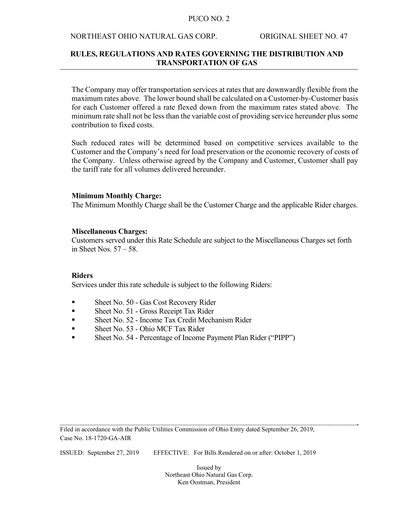#### NORTHEAST OHIO NATURAL GAS CORP. ORIGINAL SHEET NO. 47

### **RULES, REGULATIONS AND RATES GOVERNING THE DISTRIBUTION AND TRANSPORTATION OF GAS**

The Company may offer transportation services at rates that are downwardly flexible from the maximum rates above. The lower bound shall be calculated on a Customer-by-Customer basis for each Customer offered a rate flexed down from the maximum rates stated above. The minimum rate shall not be less than the variable cost of providing service hereunder plus some contribution to fixed costs.

Such reduced rates will be determined based on competitive services available to the Customer and the Company's need for load preservation or the economic recovery of costs of the Company. Unless otherwise agreed by the Company and Customer, Customer shall pay the tariff rate for all volumes delivered hereunder.

#### **Minimum Monthly Charge:**

The Minimum Monthly Charge shall be the Customer Charge and the applicable Rider charges.

#### **Miscellaneous Charges:**

Customers served under this Rate Schedule are subject to the Miscellaneous Charges set forth in Sheet Nos. 57 – 58.

#### **Riders**

Services under this rate schedule is subject to the following Riders:

- Sheet No. 50 Gas Cost Recovery Rider
- Sheet No. 51 Gross Receipt Tax Rider
- Sheet No. 52 Income Tax Credit Mechanism Rider
- Sheet No. 53 Ohio MCF Tax Rider
- Sheet No. 54 Percentage of Income Payment Plan Rider ("PIPP")

Filed in accordance with the Public Utilities Commission of Ohio Entry dated September 26, 2019, Case No. 18-1720-GA-AIR

ISSUED: September 27, 2019 EFFECTIVE: For Bills Rendered on or after: October 1, 2019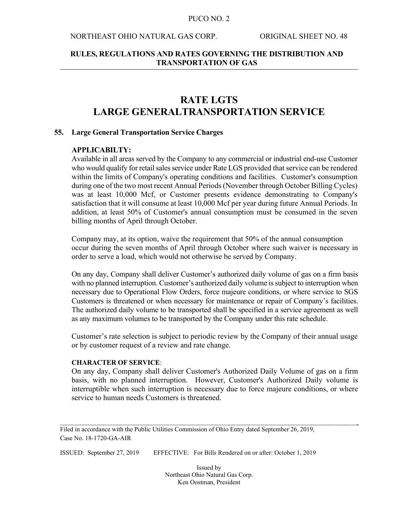#### NORTHEAST OHIO NATURAL GAS CORP. ORIGINAL SHEET NO. 48

### **RULES, REGULATIONS AND RATES GOVERNING THE DISTRIBUTION AND TRANSPORTATION OF GAS**

# **RATE LGTS LARGE GENERALTRANSPORTATION SERVICE**

#### **55. Large General Transportation Service Charges**

#### **APPLICABILTY:**

Available in all areas served by the Company to any commercial or industrial end-use Customer who would qualify for retail sales service under Rate LGS provided that service can be rendered within the limits of Company's operating conditions and facilities. Customer's consumption during one of the two most recent Annual Periods (November through October Billing Cycles) was at least 10,000 Mcf, or Customer presents evidence demonstrating to Company's satisfaction that it will consume at least 10,000 Mcf per year during future Annual Periods. In addition, at least 50% of Customer's annual consumption must be consumed in the seven billing months of April through October.

Company may, at its option, waive the requirement that 50% of the annual consumption occur during the seven months of April through October where such waiver is necessary in order to serve a load, which would not otherwise be served by Company.

On any day, Company shall deliver Customer's authorized daily volume of gas on a firm basis with no planned interruption. Customer's authorized daily volume is subject to interruption when necessary due to Operational Flow Orders, force majeure conditions, or where service to SGS Customers is threatened or when necessary for maintenance or repair of Company's facilities. The authorized daily volume to be transported shall be specified in a service agreement as well as any maximum volumes to be transported by the Company under this rate schedule.

Customer's rate selection is subject to periodic review by the Company of their annual usage or by customer request of a review and rate change.

#### **CHARACTER OF SERVICE**:

On any day, Company shall deliver Customer's Authorized Daily Volume of gas on a firm basis, with no planned interruption. However, Customer's Authorized Daily volume is interruptible when such interruption is necessary due to force majeure conditions, or where service to human needs Customers is threatened.

Filed in accordance with the Public Utilities Commission of Ohio Entry dated September 26, 2019, Case No. 18-1720-GA-AIR

ISSUED: September 27, 2019 EFFECTIVE: For Bills Rendered on or after: October 1, 2019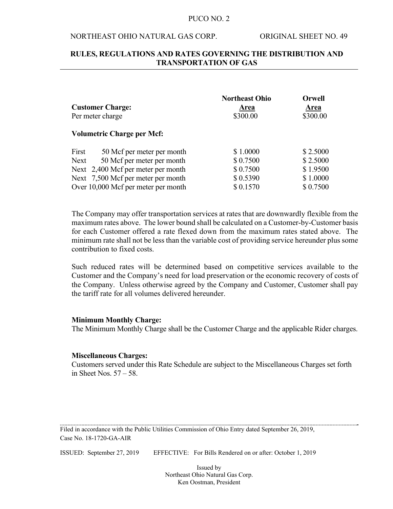### NORTHEAST OHIO NATURAL GAS CORP. ORIGINAL SHEET NO. 49

### **RULES, REGULATIONS AND RATES GOVERNING THE DISTRIBUTION AND TRANSPORTATION OF GAS**

|                                     | <b>Northeast Ohio</b> | <b>Orwell</b> |
|-------------------------------------|-----------------------|---------------|
| <b>Customer Charge:</b>             | Area                  | Area          |
| Per meter charge                    | \$300.00              | \$300.00      |
| <b>Volumetric Charge per Mcf:</b>   |                       |               |
| First<br>50 Mcf per meter per month | \$1.0000              | \$2.5000      |
| 50 Mcf per meter per month<br>Next  | \$0.7500              | \$2.5000      |
| Next 2,400 Mcf per meter per month  | \$0.7500              | \$1.9500      |
| Next 7,500 Mcf per meter per month  | \$0.5390              | \$1.0000      |
| Over 10,000 Mcf per meter per month | \$0.1570              | \$0.7500      |

The Company may offer transportation services at rates that are downwardly flexible from the maximum rates above. The lower bound shall be calculated on a Customer-by-Customer basis for each Customer offered a rate flexed down from the maximum rates stated above. The minimum rate shall not be less than the variable cost of providing service hereunder plus some contribution to fixed costs.

Such reduced rates will be determined based on competitive services available to the Customer and the Company's need for load preservation or the economic recovery of costs of the Company. Unless otherwise agreed by the Company and Customer, Customer shall pay the tariff rate for all volumes delivered hereunder.

#### **Minimum Monthly Charge:**

The Minimum Monthly Charge shall be the Customer Charge and the applicable Rider charges.

#### **Miscellaneous Charges:**

Customers served under this Rate Schedule are subject to the Miscellaneous Charges set forth in Sheet Nos. 57 – 58.

Filed in accordance with the Public Utilities Commission of Ohio Entry dated September 26, 2019, Case No. 18-1720-GA-AIR

ISSUED: September 27, 2019 EFFECTIVE: For Bills Rendered on or after: October 1, 2019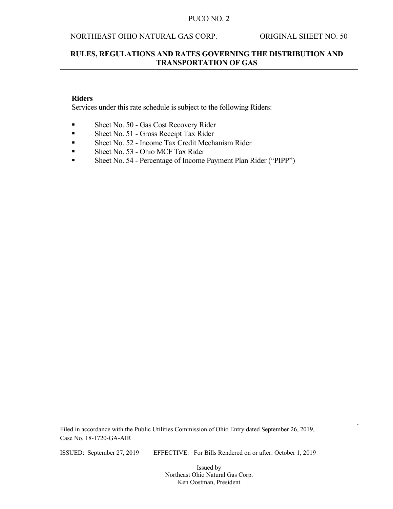### NORTHEAST OHIO NATURAL GAS CORP. ORIGINAL SHEET NO. 50

### **RULES, REGULATIONS AND RATES GOVERNING THE DISTRIBUTION AND TRANSPORTATION OF GAS**

### **Riders**

Services under this rate schedule is subject to the following Riders:

- Sheet No. 50 Gas Cost Recovery Rider
- Sheet No. 51 Gross Receipt Tax Rider
- Sheet No. 52 Income Tax Credit Mechanism Rider
- Sheet No. 53 Ohio MCF Tax Rider
- Sheet No. 54 Percentage of Income Payment Plan Rider ("PIPP")

Filed in accordance with the Public Utilities Commission of Ohio Entry dated September 26, 2019, Case No. 18-1720-GA-AIR

ISSUED: September 27, 2019 EFFECTIVE: For Bills Rendered on or after: October 1, 2019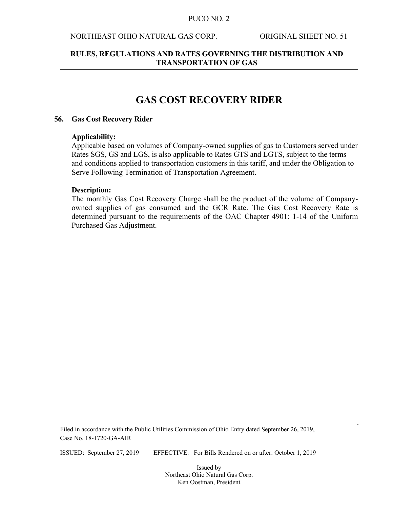### NORTHEAST OHIO NATURAL GAS CORP. ORIGINAL SHEET NO. 51

### **RULES, REGULATIONS AND RATES GOVERNING THE DISTRIBUTION AND TRANSPORTATION OF GAS**

# **GAS COST RECOVERY RIDER**

#### **56. Gas Cost Recovery Rider**

#### **Applicability:**

Applicable based on volumes of Company-owned supplies of gas to Customers served under Rates SGS, GS and LGS, is also applicable to Rates GTS and LGTS, subject to the terms and conditions applied to transportation customers in this tariff, and under the Obligation to Serve Following Termination of Transportation Agreement.

#### **Description:**

The monthly Gas Cost Recovery Charge shall be the product of the volume of Companyowned supplies of gas consumed and the GCR Rate. The Gas Cost Recovery Rate is determined pursuant to the requirements of the OAC Chapter 4901: 1-14 of the Uniform Purchased Gas Adjustment.

Filed in accordance with the Public Utilities Commission of Ohio Entry dated September 26, 2019, Case No. 18-1720-GA-AIR

ISSUED: September 27, 2019 EFFECTIVE: For Bills Rendered on or after: October 1, 2019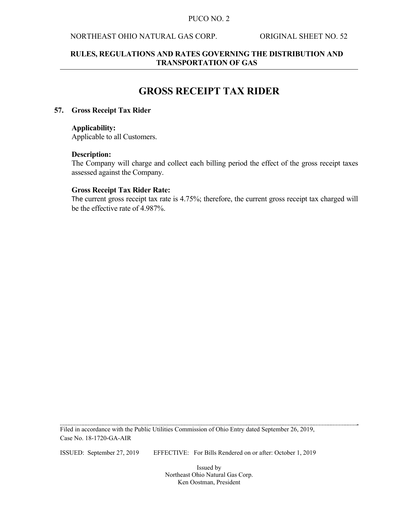### NORTHEAST OHIO NATURAL GAS CORP. ORIGINAL SHEET NO. 52

### **RULES, REGULATIONS AND RATES GOVERNING THE DISTRIBUTION AND TRANSPORTATION OF GAS**

# **GROSS RECEIPT TAX RIDER**

#### **57. Gross Receipt Tax Rider**

### **Applicability:**

Applicable to all Customers.

#### **Description:**

The Company will charge and collect each billing period the effect of the gross receipt taxes assessed against the Company.

#### **Gross Receipt Tax Rider Rate:**

The current gross receipt tax rate is 4.75%; therefore, the current gross receipt tax charged will be the effective rate of 4.987%.

Filed in accordance with the Public Utilities Commission of Ohio Entry dated September 26, 2019, Case No. 18-1720-GA-AIR

ISSUED: September 27, 2019 EFFECTIVE: For Bills Rendered on or after: October 1, 2019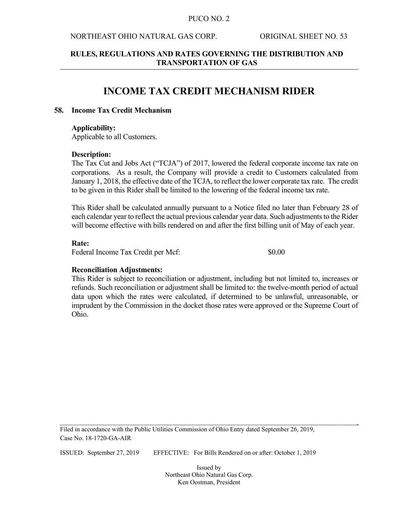#### NORTHEAST OHIO NATURAL GAS CORP. ORIGINAL SHEET NO. 53

### **RULES, REGULATIONS AND RATES GOVERNING THE DISTRIBUTION AND TRANSPORTATION OF GAS**

# **INCOME TAX CREDIT MECHANISM RIDER**

#### **58. Income Tax Credit Mechanism**

### **Applicability:**

Applicable to all Customers.

#### **Description:**

The Tax Cut and Jobs Act ("TCJA") of 2017, lowered the federal corporate income tax rate on corporations. As a result, the Company will provide a credit to Customers calculated from January 1, 2018, the effective date of the TCJA, to reflect the lower corporate tax rate. The credit to be given in this Rider shall be limited to the lowering of the federal income tax rate.

This Rider shall be calculated annually pursuant to a Notice filed no later than February 28 of each calendar year to reflect the actual previous calendar year data. Such adjustments to the Rider will become effective with bills rendered on and after the first billing unit of May of each year.

#### **Rate:**

Federal Income Tax Credit per Mcf:  $$0.00$ 

#### **Reconciliation Adjustments:**

This Rider is subject to reconciliation or adjustment, including but not limited to, increases or refunds. Such reconciliation or adjustment shall be limited to: the twelve-month period of actual data upon which the rates were calculated, if determined to be unlawful, unreasonable, or imprudent by the Commission in the docket those rates were approved or the Supreme Court of Ohio.

Filed in accordance with the Public Utilities Commission of Ohio Entry dated September 26, 2019, Case No. 18-1720-GA-AIR

ISSUED: September 27, 2019 EFFECTIVE: For Bills Rendered on or after: October 1, 2019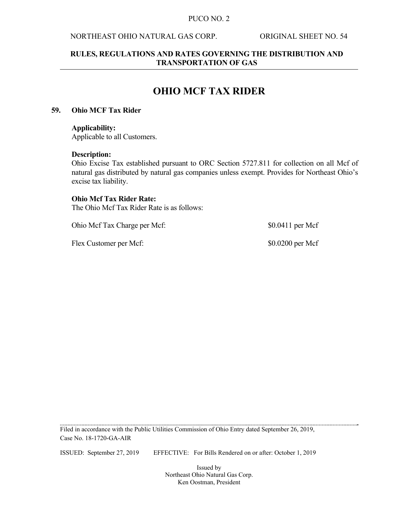### NORTHEAST OHIO NATURAL GAS CORP. ORIGINAL SHEET NO. 54

### **RULES, REGULATIONS AND RATES GOVERNING THE DISTRIBUTION AND TRANSPORTATION OF GAS**

# **OHIO MCF TAX RIDER**

### **59. Ohio MCF Tax Rider**

#### **Applicability:**

Applicable to all Customers.

#### **Description:**

Ohio Excise Tax established pursuant to ORC Section 5727.811 for collection on all Mcf of natural gas distributed by natural gas companies unless exempt. Provides for Northeast Ohio's excise tax liability.

#### **Ohio Mcf Tax Rider Rate:**

The Ohio Mcf Tax Rider Rate is as follows:

Ohio Mcf Tax Charge per Mcf:  $$0.0411$  per Mcf

Flex Customer per Mcf:  $$0.0200$  per Mcf

Filed in accordance with the Public Utilities Commission of Ohio Entry dated September 26, 2019, Case No. 18-1720-GA-AIR

ISSUED: September 27, 2019 EFFECTIVE: For Bills Rendered on or after: October 1, 2019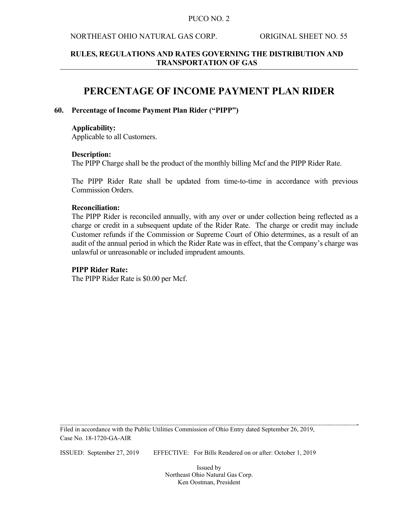### NORTHEAST OHIO NATURAL GAS CORP. ORIGINAL SHEET NO. 55

### **RULES, REGULATIONS AND RATES GOVERNING THE DISTRIBUTION AND TRANSPORTATION OF GAS**

# **PERCENTAGE OF INCOME PAYMENT PLAN RIDER**

### **60. Percentage of Income Payment Plan Rider ("PIPP")**

#### **Applicability:**

Applicable to all Customers.

### **Description:**

The PIPP Charge shall be the product of the monthly billing Mcf and the PIPP Rider Rate.

The PIPP Rider Rate shall be updated from time-to-time in accordance with previous Commission Orders.

#### **Reconciliation:**

The PIPP Rider is reconciled annually, with any over or under collection being reflected as a charge or credit in a subsequent update of the Rider Rate. The charge or credit may include Customer refunds if the Commission or Supreme Court of Ohio determines, as a result of an audit of the annual period in which the Rider Rate was in effect, that the Company's charge was unlawful or unreasonable or included imprudent amounts.

### **PIPP Rider Rate:**

The PIPP Rider Rate is \$0.00 per Mcf.

Filed in accordance with the Public Utilities Commission of Ohio Entry dated September 26, 2019, Case No. 18-1720-GA-AIR

ISSUED: September 27, 2019 EFFECTIVE: For Bills Rendered on or after: October 1, 2019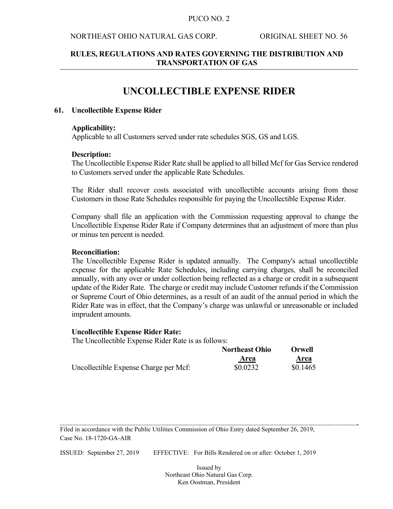#### NORTHEAST OHIO NATURAL GAS CORP. ORIGINAL SHEET NO. 56

### **RULES, REGULATIONS AND RATES GOVERNING THE DISTRIBUTION AND TRANSPORTATION OF GAS**

# **UNCOLLECTIBLE EXPENSE RIDER**

#### **61. Uncollectible Expense Rider**

#### **Applicability:**

Applicable to all Customers served under rate schedules SGS, GS and LGS.

#### **Description:**

The Uncollectible Expense Rider Rate shall be applied to all billed Mcf for Gas Service rendered to Customers served under the applicable Rate Schedules.

The Rider shall recover costs associated with uncollectible accounts arising from those Customers in those Rate Schedules responsible for paying the Uncollectible Expense Rider.

Company shall file an application with the Commission requesting approval to change the Uncollectible Expense Rider Rate if Company determines that an adjustment of more than plus or minus ten percent is needed.

#### **Reconciliation:**

The Uncollectible Expense Rider is updated annually. The Company's actual uncollectible expense for the applicable Rate Schedules, including carrying charges, shall be reconciled annually, with any over or under collection being reflected as a charge or credit in a subsequent update of the Rider Rate. The charge or credit may include Customer refunds if the Commission or Supreme Court of Ohio determines, as a result of an audit of the annual period in which the Rider Rate was in effect, that the Company's charge was unlawful or unreasonable or included imprudent amounts.

#### **Uncollectible Expense Rider Rate:**

The Uncollectible Expense Rider Rate is as follows:

|                                       | <b>Northeast Ohio</b> | Orwell   |
|---------------------------------------|-----------------------|----------|
|                                       | Area                  | Area     |
| Uncollectible Expense Charge per Mcf: | \$0.0232              | \$0.1465 |

Filed in accordance with the Public Utilities Commission of Ohio Entry dated September 26, 2019, Case No. 18-1720-GA-AIR

ISSUED: September 27, 2019 EFFECTIVE: For Bills Rendered on or after: October 1, 2019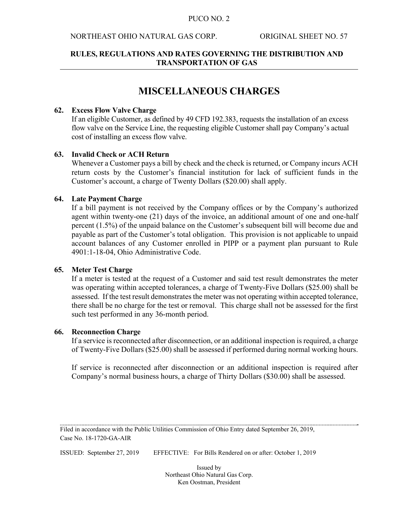### NORTHEAST OHIO NATURAL GAS CORP. ORIGINAL SHEET NO. 57

### **RULES, REGULATIONS AND RATES GOVERNING THE DISTRIBUTION AND TRANSPORTATION OF GAS**

# **MISCELLANEOUS CHARGES**

### **62. Excess Flow Valve Charge**

If an eligible Customer, as defined by 49 CFD 192.383, requests the installation of an excess flow valve on the Service Line, the requesting eligible Customer shall pay Company's actual cost of installing an excess flow valve.

### **63. Invalid Check or ACH Return**

 Whenever a Customer pays a bill by check and the check is returned, or Company incurs ACH return costs by the Customer's financial institution for lack of sufficient funds in the Customer's account, a charge of Twenty Dollars (\$20.00) shall apply.

### **64. Late Payment Charge**

 If a bill payment is not received by the Company offices or by the Company's authorized agent within twenty-one (21) days of the invoice, an additional amount of one and one-half percent (1.5%) of the unpaid balance on the Customer's subsequent bill will become due and payable as part of the Customer's total obligation. This provision is not applicable to unpaid account balances of any Customer enrolled in PIPP or a payment plan pursuant to Rule 4901:1-18-04, Ohio Administrative Code.

### **65. Meter Test Charge**

 If a meter is tested at the request of a Customer and said test result demonstrates the meter was operating within accepted tolerances, a charge of Twenty-Five Dollars (\$25.00) shall be assessed. If the test result demonstrates the meter was not operating within accepted tolerance, there shall be no charge for the test or removal. This charge shall not be assessed for the first such test performed in any 36-month period.

### **66. Reconnection Charge**

If a service is reconnected after disconnection, or an additional inspection is required, a charge of Twenty-Five Dollars (\$25.00) shall be assessed if performed during normal working hours.

If service is reconnected after disconnection or an additional inspection is required after Company's normal business hours, a charge of Thirty Dollars (\$30.00) shall be assessed.

Filed in accordance with the Public Utilities Commission of Ohio Entry dated September 26, 2019, Case No. 18-1720-GA-AIR

ISSUED: September 27, 2019 EFFECTIVE: For Bills Rendered on or after: October 1, 2019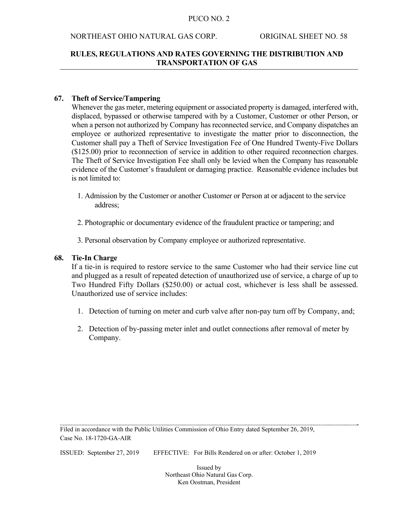### NORTHEAST OHIO NATURAL GAS CORP. ORIGINAL SHEET NO. 58

### **RULES, REGULATIONS AND RATES GOVERNING THE DISTRIBUTION AND TRANSPORTATION OF GAS**

### **67. Theft of Service/Tampering**

Whenever the gas meter, metering equipment or associated property is damaged, interfered with, displaced, bypassed or otherwise tampered with by a Customer, Customer or other Person, or when a person not authorized by Company has reconnected service, and Company dispatches an employee or authorized representative to investigate the matter prior to disconnection, the Customer shall pay a Theft of Service Investigation Fee of One Hundred Twenty-Five Dollars (\$125.00) prior to reconnection of service in addition to other required reconnection charges. The Theft of Service Investigation Fee shall only be levied when the Company has reasonable evidence of the Customer's fraudulent or damaging practice. Reasonable evidence includes but is not limited to:

- 1. Admission by the Customer or another Customer or Person at or adjacent to the service address;
- 2. Photographic or documentary evidence of the fraudulent practice or tampering; and
- 3. Personal observation by Company employee or authorized representative.

#### **68. Tie-In Charge**

 If a tie-in is required to restore service to the same Customer who had their service line cut and plugged as a result of repeated detection of unauthorized use of service, a charge of up to Two Hundred Fifty Dollars (\$250.00) or actual cost, whichever is less shall be assessed. Unauthorized use of service includes:

- 1. Detection of turning on meter and curb valve after non-pay turn off by Company, and;
- 2. Detection of by-passing meter inlet and outlet connections after removal of meter by Company.

Filed in accordance with the Public Utilities Commission of Ohio Entry dated September 26, 2019, Case No. 18-1720-GA-AIR

ISSUED: September 27, 2019 EFFECTIVE: For Bills Rendered on or after: October 1, 2019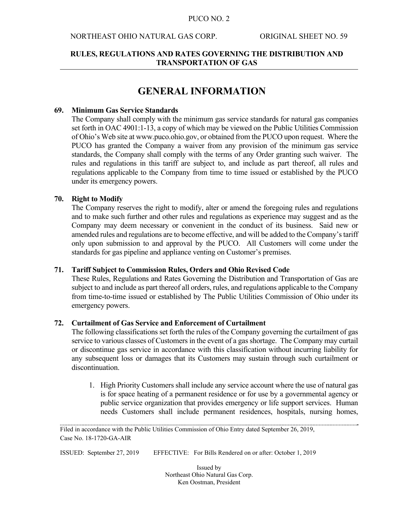#### NORTHEAST OHIO NATURAL GAS CORP. ORIGINAL SHEET NO. 59

### **RULES, REGULATIONS AND RATES GOVERNING THE DISTRIBUTION AND TRANSPORTATION OF GAS**

# **GENERAL INFORMATION**

#### **69. Minimum Gas Service Standards**

 The Company shall comply with the minimum gas service standards for natural gas companies set forth in OAC 4901:1-13, a copy of which may be viewed on the Public Utilities Commission of Ohio's Web site at www.puco.ohio.gov, or obtained from the PUCO upon request. Where the PUCO has granted the Company a waiver from any provision of the minimum gas service standards, the Company shall comply with the terms of any Order granting such waiver. The rules and regulations in this tariff are subject to, and include as part thereof, all rules and regulations applicable to the Company from time to time issued or established by the PUCO under its emergency powers.

#### **70. Right to Modify**

 The Company reserves the right to modify, alter or amend the foregoing rules and regulations and to make such further and other rules and regulations as experience may suggest and as the Company may deem necessary or convenient in the conduct of its business. Said new or amended rules and regulations are to become effective, and will be added to the Company's tariff only upon submission to and approval by the PUCO. All Customers will come under the standards for gas pipeline and appliance venting on Customer's premises.

#### **71. Tariff Subject to Commission Rules, Orders and Ohio Revised Code**

 These Rules, Regulations and Rates Governing the Distribution and Transportation of Gas are subject to and include as part thereof all orders, rules, and regulations applicable to the Company from time-to-time issued or established by The Public Utilities Commission of Ohio under its emergency powers.

#### **72. Curtailment of Gas Service and Enforcement of Curtailment**

 The following classifications set forth the rules of the Company governing the curtailment of gas service to various classes of Customers in the event of a gas shortage. The Company may curtail or discontinue gas service in accordance with this classification without incurring liability for any subsequent loss or damages that its Customers may sustain through such curtailment or discontinuation.

1. High Priority Customers shall include any service account where the use of natural gas is for space heating of a permanent residence or for use by a governmental agency or public service organization that provides emergency or life support services. Human needs Customers shall include permanent residences, hospitals, nursing homes,

ISSUED: September 27, 2019 EFFECTIVE: For Bills Rendered on or after: October 1, 2019

Filed in accordance with the Public Utilities Commission of Ohio Entry dated September 26, 2019, Case No. 18-1720-GA-AIR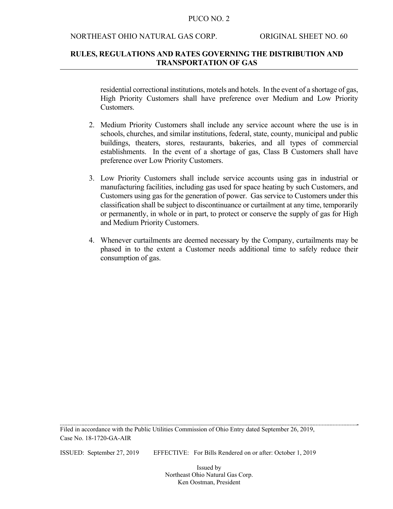#### NORTHEAST OHIO NATURAL GAS CORP. ORIGINAL SHEET NO. 60

### **RULES, REGULATIONS AND RATES GOVERNING THE DISTRIBUTION AND TRANSPORTATION OF GAS**

residential correctional institutions, motels and hotels. In the event of a shortage of gas, High Priority Customers shall have preference over Medium and Low Priority Customers.

- 2. Medium Priority Customers shall include any service account where the use is in schools, churches, and similar institutions, federal, state, county, municipal and public buildings, theaters, stores, restaurants, bakeries, and all types of commercial establishments. In the event of a shortage of gas, Class B Customers shall have preference over Low Priority Customers.
- 3. Low Priority Customers shall include service accounts using gas in industrial or manufacturing facilities, including gas used for space heating by such Customers, and Customers using gas for the generation of power. Gas service to Customers under this classification shall be subject to discontinuance or curtailment at any time, temporarily or permanently, in whole or in part, to protect or conserve the supply of gas for High and Medium Priority Customers.
- 4. Whenever curtailments are deemed necessary by the Company, curtailments may be phased in to the extent a Customer needs additional time to safely reduce their consumption of gas.

Filed in accordance with the Public Utilities Commission of Ohio Entry dated September 26, 2019, Case No. 18-1720-GA-AIR

ISSUED: September 27, 2019 EFFECTIVE: For Bills Rendered on or after: October 1, 2019